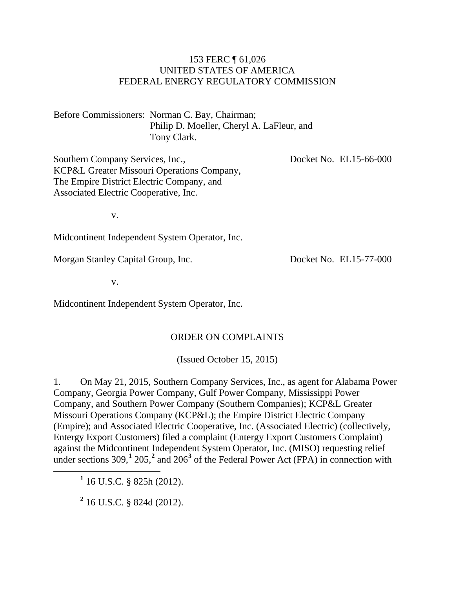#### 153 FERC ¶ 61,026 UNITED STATES OF AMERICA FEDERAL ENERGY REGULATORY COMMISSION

Before Commissioners: Norman C. Bay, Chairman; Philip D. Moeller, Cheryl A. LaFleur, and Tony Clark.

Southern Company Services, Inc., KCP&L Greater Missouri Operations Company, The Empire District Electric Company, and Associated Electric Cooperative, Inc.

Docket No. EL15-66-000

v.

Midcontinent Independent System Operator, Inc.

<span id="page-0-2"></span>Morgan Stanley Capital Group, Inc.

v.

Midcontinent Independent System Operator, Inc.

#### ORDER ON COMPLAINTS

(Issued October 15, 2015)

1. On May 21, 2015, Southern Company Services, Inc., as agent for Alabama Power Company, Georgia Power Company, Gulf Power Company, Mississippi Power Company, and Southern Power Company (Southern Companies); KCP&L Greater Missouri Operations Company (KCP&L); the Empire District Electric Company (Empire); and Associated Electric Cooperative, Inc. (Associated Electric) (collectively, Entergy Export Customers) filed a complaint (Entergy Export Customers Complaint) against the Midcontinent Independent System Operator, Inc. (MISO) requesting relief under sections 309,<sup>[1](#page-0-0)</sup> [2](#page-0-1)05,<sup>2</sup> and 206<sup>[3](#page-0-2)</sup> of the Federal Power Act (FPA) in connection with

<span id="page-0-0"></span>**<sup>1</sup>** 16 U.S.C. § 825h (2012).

<span id="page-0-1"></span>**<sup>2</sup>** 16 U.S.C. § 824d (2012).

Docket No. EL15-77-000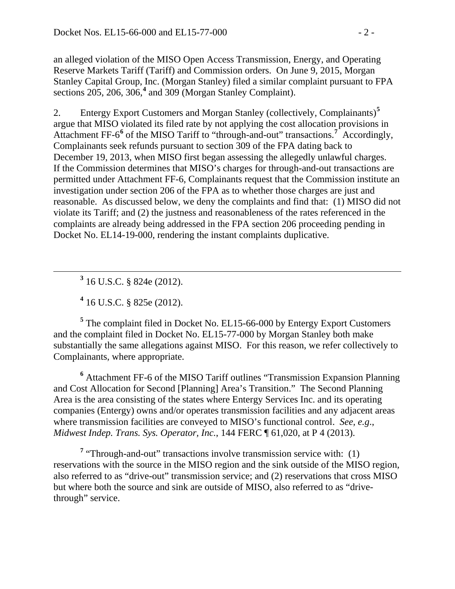an alleged violation of the MISO Open Access Transmission, Energy, and Operating Reserve Markets Tariff (Tariff) and Commission orders. On June 9, 2015, Morgan Stanley Capital Group, Inc. (Morgan Stanley) filed a similar complaint pursuant to FPA sections 205, 206, 306,**[4](#page-1-0)** and 309 (Morgan Stanley Complaint).

2. Entergy Export Customers and Morgan Stanley (collectively, Complainants) **[5](#page-1-1)** argue that MISO violated its filed rate by not applying the cost allocation provisions in Attachment FF-6**[6](#page-1-2)** of the MISO Tariff to "through-and-out" transactions.**[7](#page-1-3)** Accordingly, Complainants seek refunds pursuant to section 309 of the FPA dating back to December 19, 2013, when MISO first began assessing the allegedly unlawful charges. If the Commission determines that MISO's charges for through-and-out transactions are permitted under Attachment FF-6, Complainants request that the Commission institute an investigation under section 206 of the FPA as to whether those charges are just and reasonable. As discussed below, we deny the complaints and find that: (1) MISO did not violate its Tariff; and (2) the justness and reasonableness of the rates referenced in the complaints are already being addressed in the FPA section 206 proceeding pending in Docket No. EL14-19-000, rendering the instant complaints duplicative.

**<sup>3</sup>** 16 U.S.C. § 824e (2012).

**<sup>4</sup>** 16 U.S.C. § 825e (2012).

<span id="page-1-1"></span><span id="page-1-0"></span>**<sup>5</sup>** The complaint filed in Docket No. EL15-66-000 by Entergy Export Customers and the complaint filed in Docket No. EL15-77-000 by Morgan Stanley both make substantially the same allegations against MISO. For this reason, we refer collectively to Complainants, where appropriate.

<span id="page-1-2"></span>**<sup>6</sup>** Attachment FF-6 of the MISO Tariff outlines "Transmission Expansion Planning and Cost Allocation for Second [Planning] Area's Transition." The Second Planning Area is the area consisting of the states where Entergy Services Inc. and its operating companies (Entergy) owns and/or operates transmission facilities and any adjacent areas where transmission facilities are conveyed to MISO's functional control. *See, e.g*., *Midwest Indep. Trans. Sys. Operator, Inc.*, 144 FERC ¶ 61,020, at P 4 (2013).

<span id="page-1-3"></span>**<sup>7</sup>** "Through-and-out" transactions involve transmission service with: (1) reservations with the source in the MISO region and the sink outside of the MISO region, also referred to as "drive-out" transmission service; and (2) reservations that cross MISO but where both the source and sink are outside of MISO, also referred to as "drivethrough" service.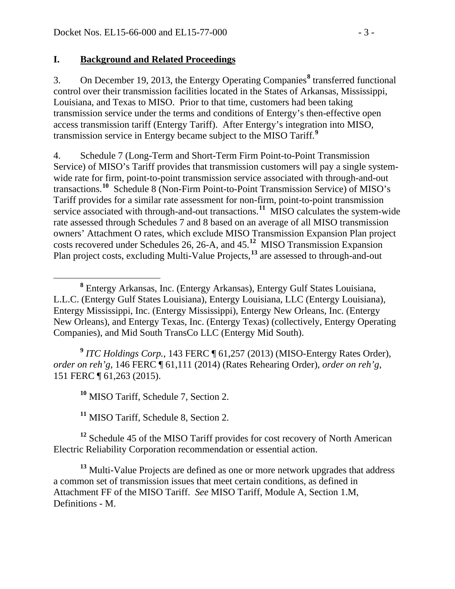#### **I. Background and Related Proceedings**

3. On December 19, 2013, the Entergy Operating Companies**[8](#page-2-0)** transferred functional control over their transmission facilities located in the States of Arkansas, Mississippi, Louisiana, and Texas to MISO. Prior to that time, customers had been taking transmission service under the terms and conditions of Entergy's then-effective open access transmission tariff (Entergy Tariff). After Entergy's integration into MISO, transmission service in Entergy became subject to the MISO Tariff.**[9](#page-2-1)**

4. Schedule 7 (Long-Term and Short-Term Firm Point-to-Point Transmission Service) of MISO's Tariff provides that transmission customers will pay a single systemwide rate for firm, point-to-point transmission service associated with through-and-out transactions.**[10](#page-2-2)** Schedule 8 (Non-Firm Point-to-Point Transmission Service) of MISO's Tariff provides for a similar rate assessment for non-firm, point-to-point transmission service associated with through-and-out transactions.**[11](#page-2-3)** MISO calculates the system-wide rate assessed through Schedules 7 and 8 based on an average of all MISO transmission owners' Attachment O rates, which exclude MISO Transmission Expansion Plan project costs recovered under Schedules 26, 26-A, and 45. **[12](#page-2-4)** MISO Transmission Expansion Plan project costs, excluding Multi-Value Projects,**[13](#page-2-5)** are assessed to through-and-out

<span id="page-2-1"></span>**<sup>9</sup>** *ITC Holdings Corp.*, 143 FERC ¶ 61,257 (2013) (MISO-Entergy Rates Order), *order on reh'g*, 146 FERC ¶ 61,111 (2014) (Rates Rehearing Order), *order on reh'g*, 151 FERC ¶ 61,263 (2015).

**<sup>10</sup>** MISO Tariff, Schedule 7, Section 2.

**<sup>11</sup>** MISO Tariff, Schedule 8, Section 2.

<span id="page-2-4"></span><span id="page-2-3"></span><span id="page-2-2"></span><sup>12</sup> Schedule 45 of the MISO Tariff provides for cost recovery of North American Electric Reliability Corporation recommendation or essential action.

<span id="page-2-5"></span><sup>13</sup> Multi-Value Projects are defined as one or more network upgrades that address a common set of transmission issues that meet certain conditions, as defined in Attachment FF of the MISO Tariff. *See* MISO Tariff, Module A, Section 1.M, Definitions - M.

<span id="page-2-0"></span>**<sup>8</sup>** Entergy Arkansas, Inc. (Entergy Arkansas), Entergy Gulf States Louisiana, L.L.C. (Entergy Gulf States Louisiana), Entergy Louisiana, LLC (Entergy Louisiana), Entergy Mississippi, Inc. (Entergy Mississippi), Entergy New Orleans, Inc. (Entergy New Orleans), and Entergy Texas, Inc. (Entergy Texas) (collectively, Entergy Operating Companies), and Mid South TransCo LLC (Entergy Mid South).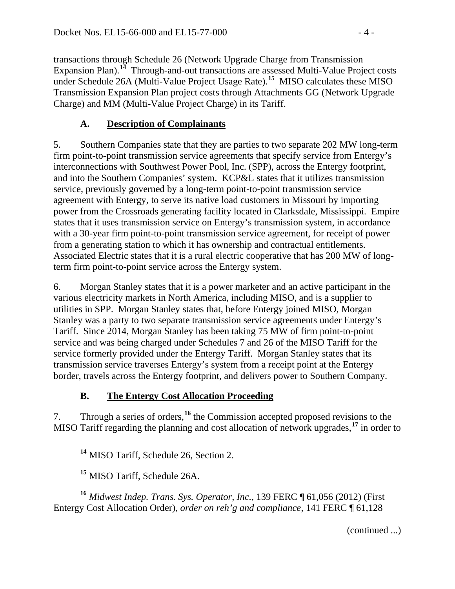transactions through Schedule 26 (Network Upgrade Charge from Transmission Expansion Plan).<sup>[14](#page-3-0)</sup> Through-and-out transactions are assessed Multi-Value Project costs under Schedule 26A (Multi-Value Project Usage Rate).**[15](#page-3-1)** MISO calculates these MISO Transmission Expansion Plan project costs through Attachments GG (Network Upgrade Charge) and MM (Multi-Value Project Charge) in its Tariff.

## **A. Description of Complainants**

5. Southern Companies state that they are parties to two separate 202 MW long-term firm point-to-point transmission service agreements that specify service from Entergy's interconnections with Southwest Power Pool, Inc. (SPP), across the Entergy footprint, and into the Southern Companies' system. KCP&L states that it utilizes transmission service, previously governed by a long-term point-to-point transmission service agreement with Entergy, to serve its native load customers in Missouri by importing power from the Crossroads generating facility located in Clarksdale, Mississippi. Empire states that it uses transmission service on Entergy's transmission system, in accordance with a 30-year firm point-to-point transmission service agreement, for receipt of power from a generating station to which it has ownership and contractual entitlements. Associated Electric states that it is a rural electric cooperative that has 200 MW of longterm firm point-to-point service across the Entergy system.

6. Morgan Stanley states that it is a power marketer and an active participant in the various electricity markets in North America, including MISO, and is a supplier to utilities in SPP. Morgan Stanley states that, before Entergy joined MISO, Morgan Stanley was a party to two separate transmission service agreements under Entergy's Tariff. Since 2014, Morgan Stanley has been taking 75 MW of firm point-to-point service and was being charged under Schedules 7 and 26 of the MISO Tariff for the service formerly provided under the Entergy Tariff. Morgan Stanley states that its transmission service traverses Entergy's system from a receipt point at the Entergy border, travels across the Entergy footprint, and delivers power to Southern Company.

## **B. The Entergy Cost Allocation Proceeding**

<span id="page-3-0"></span>7. Through a series of orders,**[16](#page-3-2)** the Commission accepted proposed revisions to the MISO Tariff regarding the planning and cost allocation of network upgrades,**[17](#page-3-0)** in order to

**<sup>14</sup>** MISO Tariff, Schedule 26, Section 2.

**<sup>15</sup>** MISO Tariff, Schedule 26A.

<span id="page-3-2"></span><span id="page-3-1"></span>**<sup>16</sup>** *Midwest Indep. Trans. Sys. Operator, Inc.*, 139 FERC ¶ 61,056 (2012) (First Entergy Cost Allocation Order), *order on reh'g and compliance*, 141 FERC ¶ 61,128

(continued ...)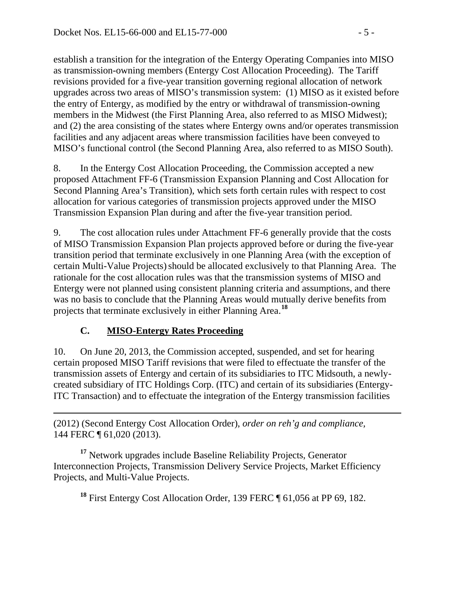establish a transition for the integration of the Entergy Operating Companies into MISO as transmission-owning members (Entergy Cost Allocation Proceeding). The Tariff revisions provided for a five-year transition governing regional allocation of network upgrades across two areas of MISO's transmission system: (1) MISO as it existed before the entry of Entergy, as modified by the entry or withdrawal of transmission-owning members in the Midwest (the First Planning Area, also referred to as MISO Midwest); and (2) the area consisting of the states where Entergy owns and/or operates transmission facilities and any adjacent areas where transmission facilities have been conveyed to MISO's functional control (the Second Planning Area, also referred to as MISO South).

8. In the Entergy Cost Allocation Proceeding, the Commission accepted a new proposed Attachment FF-6 (Transmission Expansion Planning and Cost Allocation for Second Planning Area's Transition), which sets forth certain rules with respect to cost allocation for various categories of transmission projects approved under the MISO Transmission Expansion Plan during and after the five-year transition period.

9. The cost allocation rules under Attachment FF-6 generally provide that the costs of MISO Transmission Expansion Plan projects approved before or during the five-year transition period that terminate exclusively in one Planning Area (with the exception of certain Multi-Value Projects) should be allocated exclusively to that Planning Area. The rationale for the cost allocation rules was that the transmission systems of MISO and Entergy were not planned using consistent planning criteria and assumptions, and there was no basis to conclude that the Planning Areas would mutually derive benefits from projects that terminate exclusively in either Planning Area. **[18](#page-4-0)**

## **C. MISO-Entergy Rates Proceeding**

10. On June 20, 2013, the Commission accepted, suspended, and set for hearing certain proposed MISO Tariff revisions that were filed to effectuate the transfer of the transmission assets of Entergy and certain of its subsidiaries to ITC Midsouth, a newlycreated subsidiary of ITC Holdings Corp. (ITC) and certain of its subsidiaries (Entergy-ITC Transaction) and to effectuate the integration of the Entergy transmission facilities

 $\overline{a}$ (2012) (Second Entergy Cost Allocation Order), *order on reh'g and compliance,*  144 FERC ¶ 61,020 (2013).

<span id="page-4-0"></span>**<sup>17</sup>** Network upgrades include Baseline Reliability Projects, Generator Interconnection Projects, Transmission Delivery Service Projects, Market Efficiency Projects, and Multi-Value Projects.

**<sup>18</sup>** First Entergy Cost Allocation Order, 139 FERC ¶ 61,056 at PP 69, 182.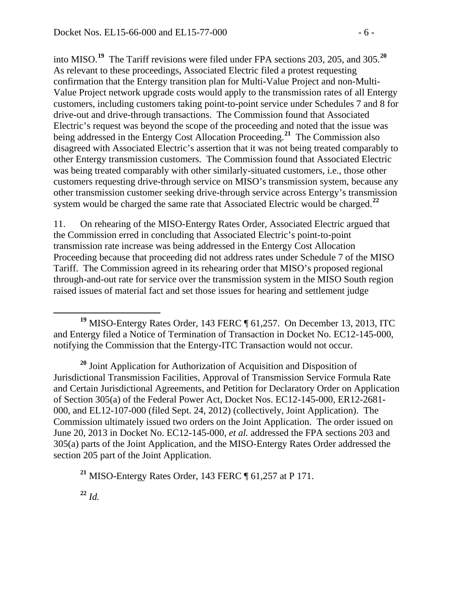into MISO.**[19](#page-5-0)** The Tariff revisions were filed under FPA sections 203, 205, and 305. **[20](#page-5-1)** As relevant to these proceedings, Associated Electric filed a protest requesting confirmation that the Entergy transition plan for Multi-Value Project and non-Multi-Value Project network upgrade costs would apply to the transmission rates of all Entergy customers, including customers taking point-to-point service under Schedules 7 and 8 for drive-out and drive-through transactions. The Commission found that Associated Electric's request was beyond the scope of the proceeding and noted that the issue was being addressed in the Entergy Cost Allocation Proceeding.**[21](#page-5-2)** The Commission also disagreed with Associated Electric's assertion that it was not being treated comparably to other Entergy transmission customers. The Commission found that Associated Electric was being treated comparably with other similarly-situated customers, i.e., those other customers requesting drive-through service on MISO's transmission system, because any other transmission customer seeking drive-through service across Entergy's transmission system would be charged the same rate that Associated Electric would be charged.**[22](#page-5-3)**

11. On rehearing of the MISO-Entergy Rates Order, Associated Electric argued that the Commission erred in concluding that Associated Electric's point-to-point transmission rate increase was being addressed in the Entergy Cost Allocation Proceeding because that proceeding did not address rates under Schedule 7 of the MISO Tariff. The Commission agreed in its rehearing order that MISO's proposed regional through-and-out rate for service over the transmission system in the MISO South region raised issues of material fact and set those issues for hearing and settlement judge

<span id="page-5-1"></span>**<sup>20</sup>** Joint Application for Authorization of Acquisition and Disposition of Jurisdictional Transmission Facilities, Approval of Transmission Service Formula Rate and Certain Jurisdictional Agreements, and Petition for Declaratory Order on Application of Section 305(a) of the Federal Power Act, Docket Nos. EC12-145-000, ER12-2681- 000, and EL12-107-000 (filed Sept. 24, 2012) (collectively, Joint Application). The Commission ultimately issued two orders on the Joint Application. The order issued on June 20, 2013 in Docket No. EC12-145-000, *et al.* addressed the FPA sections 203 and 305(a) parts of the Joint Application, and the MISO-Entergy Rates Order addressed the section 205 part of the Joint Application.

<span id="page-5-2"></span>**<sup>21</sup>** MISO-Entergy Rates Order, 143 FERC ¶ 61,257 at P 171.

<span id="page-5-3"></span>**<sup>22</sup>** *Id.*

<span id="page-5-0"></span>**<sup>19</sup>** MISO-Entergy Rates Order, 143 FERC ¶ 61,257. On December 13, 2013, ITC and Entergy filed a Notice of Termination of Transaction in Docket No. EC12-145-000, notifying the Commission that the Entergy-ITC Transaction would not occur.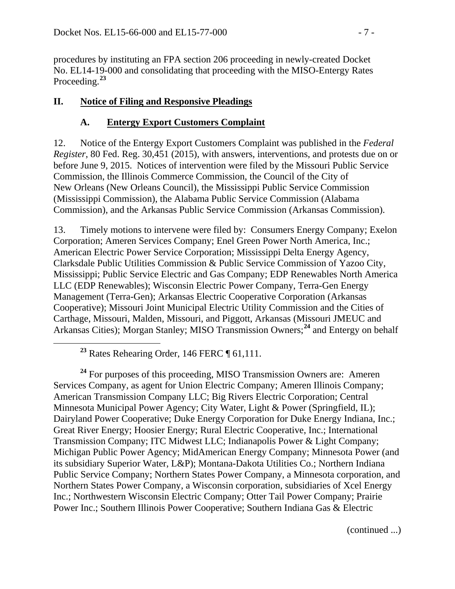procedures by instituting an FPA section 206 proceeding in newly-created Docket No. EL14-19-000 and consolidating that proceeding with the MISO-Entergy Rates Proceeding.**[23](#page-6-0)**

## **II. Notice of Filing and Responsive Pleadings**

# **A. Entergy Export Customers Complaint**

12. Notice of the Entergy Export Customers Complaint was published in the *Federal Register*, 80 Fed. Reg. 30,451 (2015), with answers, interventions, and protests due on or before June 9, 2015. Notices of intervention were filed by the Missouri Public Service Commission, the Illinois Commerce Commission, the Council of the City of New Orleans (New Orleans Council), the Mississippi Public Service Commission (Mississippi Commission), the Alabama Public Service Commission (Alabama Commission), and the Arkansas Public Service Commission (Arkansas Commission).

13. Timely motions to intervene were filed by: Consumers Energy Company; Exelon Corporation; Ameren Services Company; Enel Green Power North America, Inc.; American Electric Power Service Corporation; Mississippi Delta Energy Agency, Clarksdale Public Utilities Commission & Public Service Commission of Yazoo City, Mississippi; Public Service Electric and Gas Company; EDP Renewables North America LLC (EDP Renewables); Wisconsin Electric Power Company, Terra-Gen Energy Management (Terra-Gen); Arkansas Electric Cooperative Corporation (Arkansas Cooperative); Missouri Joint Municipal Electric Utility Commission and the Cities of Carthage, Missouri, Malden, Missouri, and Piggott, Arkansas (Missouri JMEUC and Arkansas Cities); Morgan Stanley; MISO Transmission Owners; **[24](#page-6-1)** and Entergy on behalf

**<sup>23</sup>** Rates Rehearing Order, 146 FERC ¶ 61,111.

<span id="page-6-1"></span><span id="page-6-0"></span><sup>24</sup> For purposes of this proceeding, MISO Transmission Owners are: Ameren Services Company, as agent for Union Electric Company; Ameren Illinois Company; American Transmission Company LLC; Big Rivers Electric Corporation; Central Minnesota Municipal Power Agency; City Water, Light & Power (Springfield, IL); Dairyland Power Cooperative; Duke Energy Corporation for Duke Energy Indiana, Inc.; Great River Energy; Hoosier Energy; Rural Electric Cooperative, Inc.; International Transmission Company; ITC Midwest LLC; Indianapolis Power & Light Company; Michigan Public Power Agency; MidAmerican Energy Company; Minnesota Power (and its subsidiary Superior Water, L&P); Montana-Dakota Utilities Co.; Northern Indiana Public Service Company; Northern States Power Company, a Minnesota corporation, and Northern States Power Company, a Wisconsin corporation, subsidiaries of Xcel Energy Inc.; Northwestern Wisconsin Electric Company; Otter Tail Power Company; Prairie Power Inc.; Southern Illinois Power Cooperative; Southern Indiana Gas & Electric

(continued ...)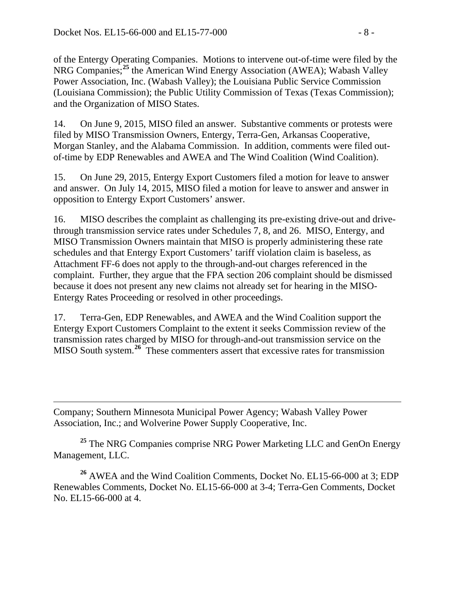$\overline{a}$ 

of the Entergy Operating Companies. Motions to intervene out-of-time were filed by the NRG Companies; **[25](#page-7-0)** the American Wind Energy Association (AWEA); Wabash Valley Power Association, Inc. (Wabash Valley); the Louisiana Public Service Commission (Louisiana Commission); the Public Utility Commission of Texas (Texas Commission); and the Organization of MISO States.

14. On June 9, 2015, MISO filed an answer. Substantive comments or protests were filed by MISO Transmission Owners, Entergy, Terra-Gen, Arkansas Cooperative, Morgan Stanley, and the Alabama Commission. In addition, comments were filed outof-time by EDP Renewables and AWEA and The Wind Coalition (Wind Coalition).

15. On June 29, 2015, Entergy Export Customers filed a motion for leave to answer and answer. On July 14, 2015, MISO filed a motion for leave to answer and answer in opposition to Entergy Export Customers' answer.

16. MISO describes the complaint as challenging its pre-existing drive-out and drivethrough transmission service rates under Schedules 7, 8, and 26. MISO, Entergy, and MISO Transmission Owners maintain that MISO is properly administering these rate schedules and that Entergy Export Customers' tariff violation claim is baseless, as Attachment FF-6 does not apply to the through-and-out charges referenced in the complaint. Further, they argue that the FPA section 206 complaint should be dismissed because it does not present any new claims not already set for hearing in the MISO-Entergy Rates Proceeding or resolved in other proceedings.

17. Terra-Gen, EDP Renewables, and AWEA and the Wind Coalition support the Entergy Export Customers Complaint to the extent it seeks Commission review of the transmission rates charged by MISO for through-and-out transmission service on the MISO South system.**[26](#page-7-1)** These commenters assert that excessive rates for transmission

Company; Southern Minnesota Municipal Power Agency; Wabash Valley Power Association, Inc.; and Wolverine Power Supply Cooperative, Inc.

<span id="page-7-0"></span><sup>25</sup> The NRG Companies comprise NRG Power Marketing LLC and GenOn Energy Management, LLC.

<span id="page-7-1"></span>**<sup>26</sup>** AWEA and the Wind Coalition Comments, Docket No. EL15-66-000 at 3; EDP Renewables Comments, Docket No. EL15-66-000 at 3-4; Terra-Gen Comments, Docket No. EL15-66-000 at 4.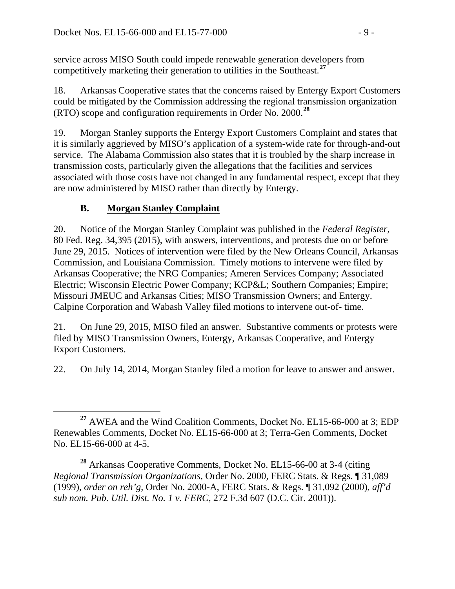service across MISO South could impede renewable generation developers from competitively marketing their generation to utilities in the Southeast.**[27](#page-8-0)**

18. Arkansas Cooperative states that the concerns raised by Entergy Export Customers could be mitigated by the Commission addressing the regional transmission organization (RTO) scope and configuration requirements in Order No. 2000.**[28](#page-8-1)**

19. Morgan Stanley supports the Entergy Export Customers Complaint and states that it is similarly aggrieved by MISO's application of a system-wide rate for through-and-out service. The Alabama Commission also states that it is troubled by the sharp increase in transmission costs, particularly given the allegations that the facilities and services associated with those costs have not changed in any fundamental respect, except that they are now administered by MISO rather than directly by Entergy.

# **B. Morgan Stanley Complaint**

20. Notice of the Morgan Stanley Complaint was published in the *Federal Register*, 80 Fed. Reg. 34,395 (2015), with answers, interventions, and protests due on or before June 29, 2015. Notices of intervention were filed by the New Orleans Council, Arkansas Commission, and Louisiana Commission. Timely motions to intervene were filed by Arkansas Cooperative; the NRG Companies; Ameren Services Company; Associated Electric; Wisconsin Electric Power Company; KCP&L; Southern Companies; Empire; Missouri JMEUC and Arkansas Cities; MISO Transmission Owners; and Entergy. Calpine Corporation and Wabash Valley filed motions to intervene out-of- time.

21. On June 29, 2015, MISO filed an answer. Substantive comments or protests were filed by MISO Transmission Owners, Entergy, Arkansas Cooperative, and Entergy Export Customers.

22. On July 14, 2014, Morgan Stanley filed a motion for leave to answer and answer.

<span id="page-8-0"></span>**<sup>27</sup>** AWEA and the Wind Coalition Comments, Docket No. EL15-66-000 at 3; EDP Renewables Comments, Docket No. EL15-66-000 at 3; Terra-Gen Comments, Docket No. EL15-66-000 at 4-5.

<span id="page-8-1"></span>**<sup>28</sup>** Arkansas Cooperative Comments, Docket No. EL15-66-00 at 3-4 (citing *Regional Transmission Organizations*, Order No. 2000, FERC Stats. & Regs. ¶ 31,089 (1999), *order on reh'g*, Order No. 2000-A, FERC Stats. & Regs. ¶ 31,092 (2000), *aff'd sub nom. Pub. Util. Dist. No. 1 v. FERC*, 272 F.3d 607 (D.C. Cir. 2001)).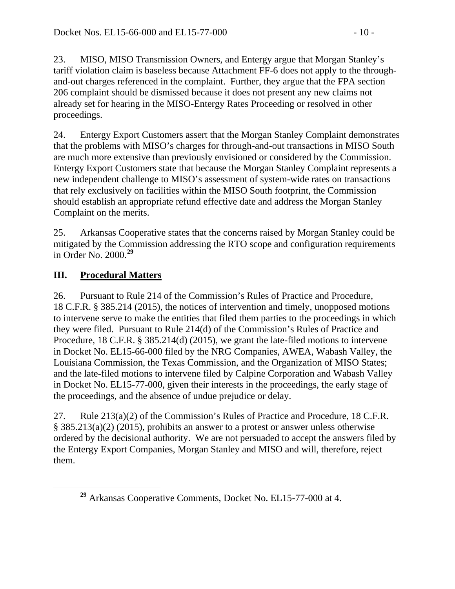23. MISO, MISO Transmission Owners, and Entergy argue that Morgan Stanley's tariff violation claim is baseless because Attachment FF-6 does not apply to the throughand-out charges referenced in the complaint. Further, they argue that the FPA section 206 complaint should be dismissed because it does not present any new claims not already set for hearing in the MISO-Entergy Rates Proceeding or resolved in other proceedings.

24. Entergy Export Customers assert that the Morgan Stanley Complaint demonstrates that the problems with MISO's charges for through-and-out transactions in MISO South are much more extensive than previously envisioned or considered by the Commission. Entergy Export Customers state that because the Morgan Stanley Complaint represents a new independent challenge to MISO's assessment of system-wide rates on transactions that rely exclusively on facilities within the MISO South footprint, the Commission should establish an appropriate refund effective date and address the Morgan Stanley Complaint on the merits.

25. Arkansas Cooperative states that the concerns raised by Morgan Stanley could be mitigated by the Commission addressing the RTO scope and configuration requirements in Order No. 2000.**[29](#page-9-0)**

# **III. Procedural Matters**

26. Pursuant to Rule 214 of the Commission's Rules of Practice and Procedure, 18 C.F.R. § 385.214 (2015), the notices of intervention and timely, unopposed motions to intervene serve to make the entities that filed them parties to the proceedings in which they were filed. Pursuant to Rule 214(d) of the Commission's Rules of Practice and Procedure, 18 C.F.R. § 385.214(d) (2015), we grant the late-filed motions to intervene in Docket No. EL15-66-000 filed by the NRG Companies, AWEA, Wabash Valley, the Louisiana Commission, the Texas Commission, and the Organization of MISO States; and the late-filed motions to intervene filed by Calpine Corporation and Wabash Valley in Docket No. EL15-77-000, given their interests in the proceedings, the early stage of the proceedings, and the absence of undue prejudice or delay.

27. Rule 213(a)(2) of the Commission's Rules of Practice and Procedure, 18 C.F.R. § 385.213(a)(2) (2015), prohibits an answer to a protest or answer unless otherwise ordered by the decisional authority. We are not persuaded to accept the answers filed by the Entergy Export Companies, Morgan Stanley and MISO and will, therefore, reject them.

<span id="page-9-0"></span>**<sup>29</sup>** Arkansas Cooperative Comments, Docket No. EL15-77-000 at 4.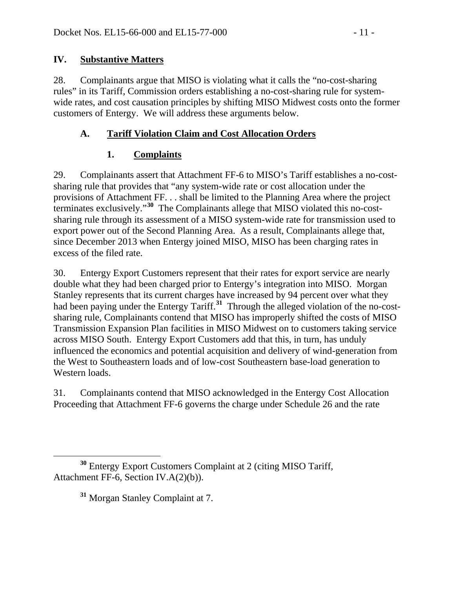#### **IV. Substantive Matters**

28. Complainants argue that MISO is violating what it calls the "no-cost-sharing rules" in its Tariff, Commission orders establishing a no-cost-sharing rule for systemwide rates, and cost causation principles by shifting MISO Midwest costs onto the former customers of Entergy. We will address these arguments below.

### **A. Tariff Violation Claim and Cost Allocation Orders**

### **1. Complaints**

29. Complainants assert that Attachment FF-6 to MISO's Tariff establishes a no-costsharing rule that provides that "any system-wide rate or cost allocation under the provisions of Attachment FF. . . shall be limited to the Planning Area where the project terminates exclusively."**[30](#page-10-0)** The Complainants allege that MISO violated this no-costsharing rule through its assessment of a MISO system-wide rate for transmission used to export power out of the Second Planning Area. As a result, Complainants allege that, since December 2013 when Entergy joined MISO, MISO has been charging rates in excess of the filed rate.

30. Entergy Export Customers represent that their rates for export service are nearly double what they had been charged prior to Entergy's integration into MISO. Morgan Stanley represents that its current charges have increased by 94 percent over what they had been paying under the Entergy Tariff.**[31](#page-10-1)** Through the alleged violation of the no-costsharing rule, Complainants contend that MISO has improperly shifted the costs of MISO Transmission Expansion Plan facilities in MISO Midwest on to customers taking service across MISO South. Entergy Export Customers add that this, in turn, has unduly influenced the economics and potential acquisition and delivery of wind-generation from the West to Southeastern loads and of low-cost Southeastern base-load generation to Western loads.

31. Complainants contend that MISO acknowledged in the Entergy Cost Allocation Proceeding that Attachment FF-6 governs the charge under Schedule 26 and the rate

<span id="page-10-1"></span><span id="page-10-0"></span>**<sup>30</sup>** Entergy Export Customers Complaint at 2 (citing MISO Tariff, Attachment FF-6, Section IV.A(2)(b)).

**<sup>31</sup>** Morgan Stanley Complaint at 7.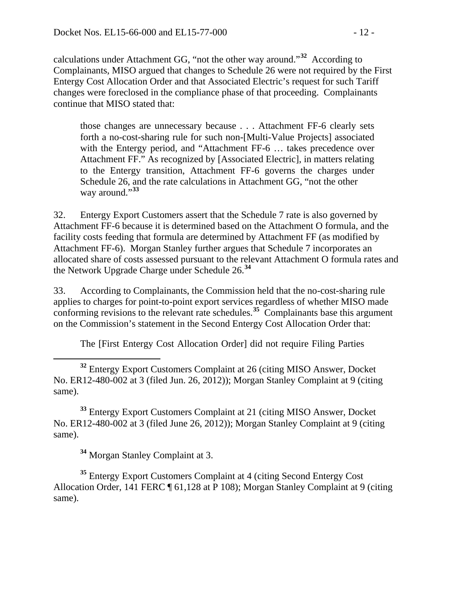calculations under Attachment GG, "not the other way around."**[32](#page-11-0)** According to Complainants, MISO argued that changes to Schedule 26 were not required by the First Entergy Cost Allocation Order and that Associated Electric's request for such Tariff changes were foreclosed in the compliance phase of that proceeding. Complainants continue that MISO stated that:

those changes are unnecessary because . . . Attachment FF-6 clearly sets forth a no-cost-sharing rule for such non-[Multi-Value Projects] associated with the Entergy period, and "Attachment FF-6 … takes precedence over Attachment FF." As recognized by [Associated Electric], in matters relating to the Entergy transition, Attachment FF-6 governs the charges under Schedule 26, and the rate calculations in Attachment GG, "not the other way around."**[33](#page-11-1)**

32. Entergy Export Customers assert that the Schedule 7 rate is also governed by Attachment FF-6 because it is determined based on the Attachment O formula, and the facility costs feeding that formula are determined by Attachment FF (as modified by Attachment FF-6). Morgan Stanley further argues that Schedule 7 incorporates an allocated share of costs assessed pursuant to the relevant Attachment O formula rates and the Network Upgrade Charge under Schedule 26.**[34](#page-11-2)**

33. According to Complainants, the Commission held that the no-cost-sharing rule applies to charges for point-to-point export services regardless of whether MISO made conforming revisions to the relevant rate schedules.**[35](#page-11-3)** Complainants base this argument on the Commission's statement in the Second Entergy Cost Allocation Order that:

The [First Entergy Cost Allocation Order] did not require Filing Parties

<span id="page-11-0"></span> **<sup>32</sup>** Entergy Export Customers Complaint at 26 (citing MISO Answer, Docket No. ER12-480-002 at 3 (filed Jun. 26, 2012)); Morgan Stanley Complaint at 9 (citing same).

<span id="page-11-1"></span>**<sup>33</sup>** Entergy Export Customers Complaint at 21 (citing MISO Answer, Docket No. ER12-480-002 at 3 (filed June 26, 2012)); Morgan Stanley Complaint at 9 (citing same).

**<sup>34</sup>** Morgan Stanley Complaint at 3.

<span id="page-11-3"></span><span id="page-11-2"></span>**<sup>35</sup>** Entergy Export Customers Complaint at 4 (citing Second Entergy Cost Allocation Order, 141 FERC ¶ 61,128 at P 108); Morgan Stanley Complaint at 9 (citing same).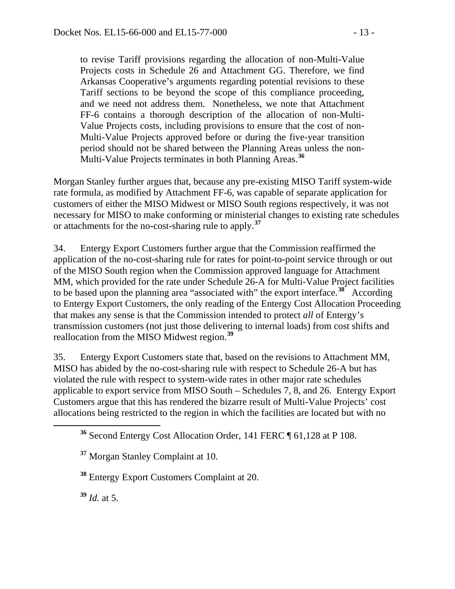to revise Tariff provisions regarding the allocation of non-Multi-Value Projects costs in Schedule 26 and Attachment GG. Therefore, we find Arkansas Cooperative's arguments regarding potential revisions to these Tariff sections to be beyond the scope of this compliance proceeding, and we need not address them. Nonetheless, we note that Attachment FF-6 contains a thorough description of the allocation of non-Multi-Value Projects costs, including provisions to ensure that the cost of non-Multi-Value Projects approved before or during the five-year transition period should not be shared between the Planning Areas unless the non-Multi-Value Projects terminates in both Planning Areas.**[36](#page-12-0)**

Morgan Stanley further argues that, because any pre-existing MISO Tariff system-wide rate formula, as modified by Attachment FF-6, was capable of separate application for customers of either the MISO Midwest or MISO South regions respectively, it was not necessary for MISO to make conforming or ministerial changes to existing rate schedules or attachments for the no-cost-sharing rule to apply.**[37](#page-12-1)**

34. Entergy Export Customers further argue that the Commission reaffirmed the application of the no-cost-sharing rule for rates for point-to-point service through or out of the MISO South region when the Commission approved language for Attachment MM, which provided for the rate under Schedule 26-A for Multi-Value Project facilities to be based upon the planning area "associated with" the export interface.**[38](#page-12-2)** According to Entergy Export Customers, the only reading of the Entergy Cost Allocation Proceeding that makes any sense is that the Commission intended to protect *all* of Entergy's transmission customers (not just those delivering to internal loads) from cost shifts and reallocation from the MISO Midwest region.**[39](#page-12-3)**

35. Entergy Export Customers state that, based on the revisions to Attachment MM, MISO has abided by the no-cost-sharing rule with respect to Schedule 26-A but has violated the rule with respect to system-wide rates in other major rate schedules applicable to export service from MISO South – Schedules 7, 8, and 26. Entergy Export Customers argue that this has rendered the bizarre result of Multi-Value Projects' cost allocations being restricted to the region in which the facilities are located but with no

<span id="page-12-2"></span>**<sup>38</sup>** Entergy Export Customers Complaint at 20.

<span id="page-12-3"></span>**<sup>39</sup>** *Id.* at 5.

<span id="page-12-0"></span>**<sup>36</sup>** Second Entergy Cost Allocation Order, 141 FERC ¶ 61,128 at P 108.

<span id="page-12-1"></span>**<sup>37</sup>** Morgan Stanley Complaint at 10.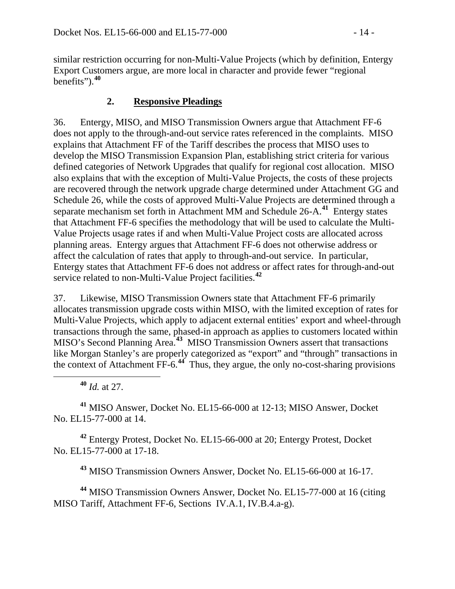similar restriction occurring for non-Multi-Value Projects (which by definition, Entergy Export Customers argue, are more local in character and provide fewer "regional benefits" $)$ .<sup>[40](#page-13-0)</sup>

### **2. Responsive Pleadings**

36. Entergy, MISO, and MISO Transmission Owners argue that Attachment FF-6 does not apply to the through-and-out service rates referenced in the complaints. MISO explains that Attachment FF of the Tariff describes the process that MISO uses to develop the MISO Transmission Expansion Plan, establishing strict criteria for various defined categories of Network Upgrades that qualify for regional cost allocation. MISO also explains that with the exception of Multi-Value Projects, the costs of these projects are recovered through the network upgrade charge determined under Attachment GG and Schedule 26, while the costs of approved Multi-Value Projects are determined through a separate mechanism set forth in Attachment MM and Schedule 26-A.**[41](#page-13-1)** Entergy states that Attachment FF-6 specifies the methodology that will be used to calculate the Multi-Value Projects usage rates if and when Multi-Value Project costs are allocated across planning areas. Entergy argues that Attachment FF-6 does not otherwise address or affect the calculation of rates that apply to through-and-out service. In particular, Entergy states that Attachment FF-6 does not address or affect rates for through-and-out service related to non-Multi-Value Project facilities.**[42](#page-13-2)**

37. Likewise, MISO Transmission Owners state that Attachment FF-6 primarily allocates transmission upgrade costs within MISO, with the limited exception of rates for Multi-Value Projects, which apply to adjacent external entities' export and wheel-through transactions through the same, phased-in approach as applies to customers located within MISO's Second Planning Area.**[43](#page-13-3)** MISO Transmission Owners assert that transactions like Morgan Stanley's are properly categorized as "export" and "through" transactions in the context of Attachment FF-6.<sup>[44](#page-13-4)</sup> Thus, they argue, the only no-cost-sharing provisions

**<sup>40</sup>** *Id.* at 27.

<span id="page-13-1"></span><span id="page-13-0"></span>**<sup>41</sup>** MISO Answer, Docket No. EL15-66-000 at 12-13; MISO Answer, Docket No. EL15-77-000 at 14.

<span id="page-13-2"></span>**<sup>42</sup>** Entergy Protest, Docket No. EL15-66-000 at 20; Entergy Protest, Docket No. EL15-77-000 at 17-18.

**<sup>43</sup>** MISO Transmission Owners Answer, Docket No. EL15-66-000 at 16-17.

<span id="page-13-4"></span><span id="page-13-3"></span>**<sup>44</sup>** MISO Transmission Owners Answer, Docket No. EL15-77-000 at 16 (citing MISO Tariff, Attachment FF-6, Sections IV.A.1, IV.B.4.a-g).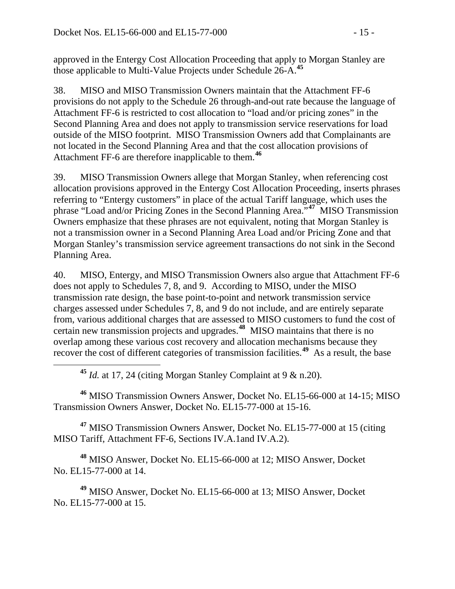approved in the Entergy Cost Allocation Proceeding that apply to Morgan Stanley are those applicable to Multi-Value Projects under Schedule 26-A.**[45](#page-14-0)**

38. MISO and MISO Transmission Owners maintain that the Attachment FF-6 provisions do not apply to the Schedule 26 through-and-out rate because the language of Attachment FF-6 is restricted to cost allocation to "load and/or pricing zones" in the Second Planning Area and does not apply to transmission service reservations for load outside of the MISO footprint. MISO Transmission Owners add that Complainants are not located in the Second Planning Area and that the cost allocation provisions of Attachment FF-6 are therefore inapplicable to them.**[46](#page-14-1)**

39. MISO Transmission Owners allege that Morgan Stanley, when referencing cost allocation provisions approved in the Entergy Cost Allocation Proceeding, inserts phrases referring to "Entergy customers" in place of the actual Tariff language, which uses the phrase "Load and/or Pricing Zones in the Second Planning Area."**[47](#page-14-2)** MISO Transmission Owners emphasize that these phrases are not equivalent, noting that Morgan Stanley is not a transmission owner in a Second Planning Area Load and/or Pricing Zone and that Morgan Stanley's transmission service agreement transactions do not sink in the Second Planning Area.

40. MISO, Entergy, and MISO Transmission Owners also argue that Attachment FF-6 does not apply to Schedules 7, 8, and 9. According to MISO, under the MISO transmission rate design, the base point-to-point and network transmission service charges assessed under Schedules 7, 8, and 9 do not include, and are entirely separate from, various additional charges that are assessed to MISO customers to fund the cost of certain new transmission projects and upgrades.**[48](#page-14-3)** MISO maintains that there is no overlap among these various cost recovery and allocation mechanisms because they recover the cost of different categories of transmission facilities.**[49](#page-14-4)** As a result, the base

**<sup>45</sup>** *Id.* at 17, 24 (citing Morgan Stanley Complaint at 9 & n.20).

<span id="page-14-1"></span><span id="page-14-0"></span>**<sup>46</sup>** MISO Transmission Owners Answer, Docket No. EL15-66-000 at 14-15; MISO Transmission Owners Answer, Docket No. EL15-77-000 at 15-16.

<span id="page-14-2"></span>**<sup>47</sup>** MISO Transmission Owners Answer, Docket No. EL15-77-000 at 15 (citing MISO Tariff, Attachment FF-6, Sections IV.A.1and IV.A.2).

<span id="page-14-3"></span>**<sup>48</sup>** MISO Answer, Docket No. EL15-66-000 at 12; MISO Answer, Docket No. EL15-77-000 at 14.

<span id="page-14-4"></span>**<sup>49</sup>** MISO Answer, Docket No. EL15-66-000 at 13; MISO Answer, Docket No. EL15-77-000 at 15.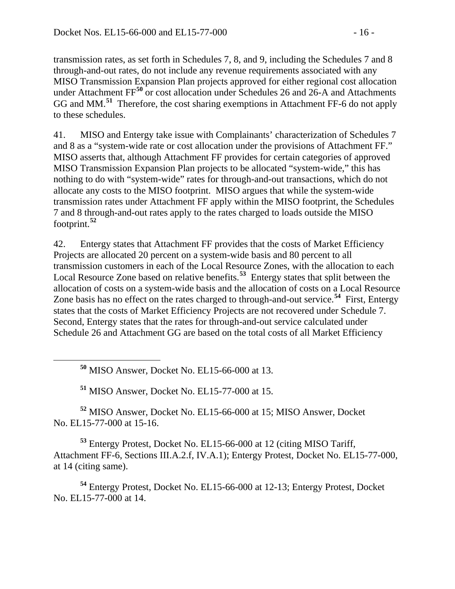transmission rates, as set forth in Schedules 7, 8, and 9, including the Schedules 7 and 8 through-and-out rates, do not include any revenue requirements associated with any MISO Transmission Expansion Plan projects approved for either regional cost allocation under Attachment FF<sup>[50](#page-15-0)</sup> or cost allocation under Schedules 26 and 26-A and Attachments GG and MM.**[51](#page-15-1)** Therefore, the cost sharing exemptions in Attachment FF-6 do not apply to these schedules.

41. MISO and Entergy take issue with Complainants' characterization of Schedules 7 and 8 as a "system-wide rate or cost allocation under the provisions of Attachment FF." MISO asserts that, although Attachment FF provides for certain categories of approved MISO Transmission Expansion Plan projects to be allocated "system-wide," this has nothing to do with "system-wide" rates for through-and-out transactions, which do not allocate any costs to the MISO footprint. MISO argues that while the system-wide transmission rates under Attachment FF apply within the MISO footprint, the Schedules 7 and 8 through-and-out rates apply to the rates charged to loads outside the MISO footprint.**[52](#page-15-2)**

42. Entergy states that Attachment FF provides that the costs of Market Efficiency Projects are allocated 20 percent on a system-wide basis and 80 percent to all transmission customers in each of the Local Resource Zones, with the allocation to each Local Resource Zone based on relative benefits.**[53](#page-15-3)** Entergy states that split between the allocation of costs on a system-wide basis and the allocation of costs on a Local Resource Zone basis has no effect on the rates charged to through-and-out service.**[54](#page-15-4)** First, Entergy states that the costs of Market Efficiency Projects are not recovered under Schedule 7. Second, Entergy states that the rates for through-and-out service calculated under Schedule 26 and Attachment GG are based on the total costs of all Market Efficiency

**<sup>50</sup>** MISO Answer, Docket No. EL15-66-000 at 13.

**<sup>51</sup>** MISO Answer, Docket No. EL15-77-000 at 15.

<span id="page-15-2"></span><span id="page-15-1"></span><span id="page-15-0"></span>**<sup>52</sup>** MISO Answer, Docket No. EL15-66-000 at 15; MISO Answer, Docket No. EL15-77-000 at 15-16.

<span id="page-15-3"></span>**<sup>53</sup>** Entergy Protest, Docket No. EL15-66-000 at 12 (citing MISO Tariff, Attachment FF-6, Sections III.A.2.f, IV.A.1); Entergy Protest, Docket No. EL15-77-000, at 14 (citing same).

<span id="page-15-4"></span>**<sup>54</sup>** Entergy Protest, Docket No. EL15-66-000 at 12-13; Entergy Protest, Docket No. EL15-77-000 at 14.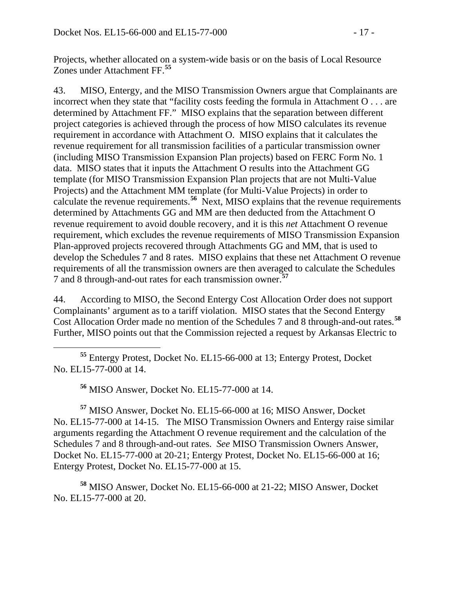Projects, whether allocated on a system-wide basis or on the basis of Local Resource Zones under Attachment FF.**[55](#page-16-0)**

43. MISO, Entergy, and the MISO Transmission Owners argue that Complainants are incorrect when they state that "facility costs feeding the formula in Attachment O . . . are determined by Attachment FF." MISO explains that the separation between different project categories is achieved through the process of how MISO calculates its revenue requirement in accordance with Attachment O. MISO explains that it calculates the revenue requirement for all transmission facilities of a particular transmission owner (including MISO Transmission Expansion Plan projects) based on FERC Form No. 1 data. MISO states that it inputs the Attachment O results into the Attachment GG template (for MISO Transmission Expansion Plan projects that are not Multi-Value Projects) and the Attachment MM template (for Multi-Value Projects) in order to calculate the revenue requirements.**[56](#page-16-1)** Next, MISO explains that the revenue requirements determined by Attachments GG and MM are then deducted from the Attachment O revenue requirement to avoid double recovery, and it is this *net* Attachment O revenue requirement, which excludes the revenue requirements of MISO Transmission Expansion Plan-approved projects recovered through Attachments GG and MM, that is used to develop the Schedules 7 and 8 rates. MISO explains that these net Attachment O revenue requirements of all the transmission owners are then averaged to calculate the Schedules 7 and 8 through-and-out rates for each transmission owner.**[57](#page-16-2)**

44. According to MISO, the Second Entergy Cost Allocation Order does not support Complainants' argument as to a tariff violation. MISO states that the Second Entergy Cost Allocation Order made no mention of the Schedules 7 and 8 through-and-out rates.**[58](#page-16-3)** Further, MISO points out that the Commission rejected a request by Arkansas Electric to

<span id="page-16-0"></span> **<sup>55</sup>** Entergy Protest, Docket No. EL15-66-000 at 13; Entergy Protest, Docket No. EL15-77-000 at 14.

**<sup>56</sup>** MISO Answer, Docket No. EL15-77-000 at 14.

<span id="page-16-2"></span><span id="page-16-1"></span>**<sup>57</sup>** MISO Answer, Docket No. EL15-66-000 at 16; MISO Answer, Docket No. EL15-77-000 at 14-15. The MISO Transmission Owners and Entergy raise similar arguments regarding the Attachment O revenue requirement and the calculation of the Schedules 7 and 8 through-and-out rates. *See* MISO Transmission Owners Answer, Docket No. EL15-77-000 at 20-21; Entergy Protest, Docket No. EL15-66-000 at 16; Entergy Protest, Docket No. EL15-77-000 at 15.

<span id="page-16-3"></span>**<sup>58</sup>** MISO Answer, Docket No. EL15-66-000 at 21-22; MISO Answer, Docket No. EL15-77-000 at 20.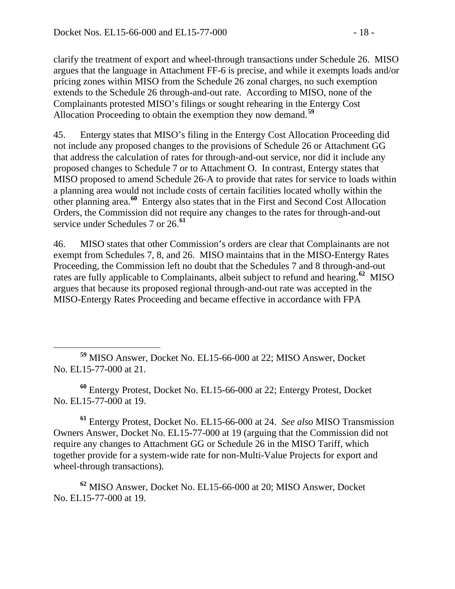clarify the treatment of export and wheel-through transactions under Schedule 26. MISO argues that the language in Attachment FF-6 is precise, and while it exempts loads and/or pricing zones within MISO from the Schedule 26 zonal charges, no such exemption extends to the Schedule 26 through-and-out rate. According to MISO, none of the Complainants protested MISO's filings or sought rehearing in the Entergy Cost Allocation Proceeding to obtain the exemption they now demand.**[59](#page-17-0)**

45. Entergy states that MISO's filing in the Entergy Cost Allocation Proceeding did not include any proposed changes to the provisions of Schedule 26 or Attachment GG that address the calculation of rates for through-and-out service, nor did it include any proposed changes to Schedule 7 or to Attachment O. In contrast, Entergy states that MISO proposed to amend Schedule 26-A to provide that rates for service to loads within a planning area would not include costs of certain facilities located wholly within the other planning area.**[60](#page-17-1)** Entergy also states that in the First and Second Cost Allocation Orders, the Commission did not require any changes to the rates for through-and-out service under Schedules 7 or 26.**[61](#page-17-2)**

46. MISO states that other Commission's orders are clear that Complainants are not exempt from Schedules 7, 8, and 26. MISO maintains that in the MISO-Entergy Rates Proceeding, the Commission left no doubt that the Schedules 7 and 8 through-and-out rates are fully applicable to Complainants, albeit subject to refund and hearing.**[62](#page-17-3)** MISO argues that because its proposed regional through-and-out rate was accepted in the MISO-Entergy Rates Proceeding and became effective in accordance with FPA

<span id="page-17-1"></span>**<sup>60</sup>** Entergy Protest, Docket No. EL15-66-000 at 22; Entergy Protest, Docket No. EL15-77-000 at 19.

<span id="page-17-2"></span>**<sup>61</sup>** Entergy Protest, Docket No. EL15-66-000 at 24. *See also* MISO Transmission Owners Answer, Docket No. EL15-77-000 at 19 (arguing that the Commission did not require any changes to Attachment GG or Schedule 26 in the MISO Tariff, which together provide for a system-wide rate for non-Multi-Value Projects for export and wheel-through transactions).

<span id="page-17-3"></span>**<sup>62</sup>** MISO Answer, Docket No. EL15-66-000 at 20; MISO Answer, Docket No. EL15-77-000 at 19.

<span id="page-17-0"></span>**<sup>59</sup>** MISO Answer, Docket No. EL15-66-000 at 22; MISO Answer, Docket No. EL15-77-000 at 21.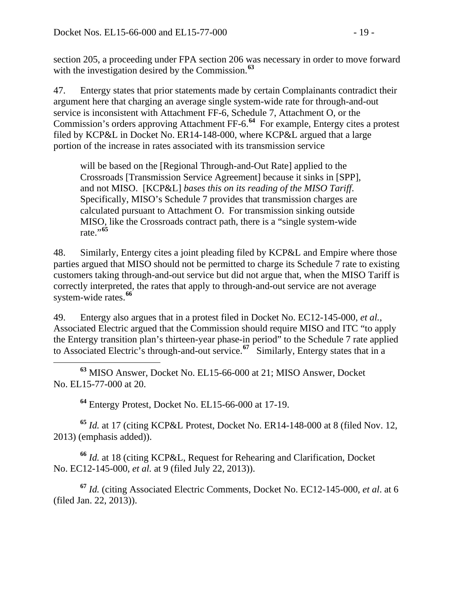section 205, a proceeding under FPA section 206 was necessary in order to move forward with the investigation desired by the Commission.**[63](#page-18-0)**

47. Entergy states that prior statements made by certain Complainants contradict their argument here that charging an average single system-wide rate for through-and-out service is inconsistent with Attachment FF-6, Schedule 7, Attachment O, or the Commission's orders approving Attachment FF-6.**[64](#page-18-1)** For example, Entergy cites a protest filed by KCP&L in Docket No. ER14-148-000, where KCP&L argued that a large portion of the increase in rates associated with its transmission service

will be based on the [Regional Through-and-Out Rate] applied to the Crossroads [Transmission Service Agreement] because it sinks in [SPP], and not MISO. [KCP&L] *bases this on its reading of the MISO Tariff*. Specifically, MISO's Schedule 7 provides that transmission charges are calculated pursuant to Attachment O. For transmission sinking outside MISO, like the Crossroads contract path, there is a "single system-wide rate."**[65](#page-18-2)**

48. Similarly, Entergy cites a joint pleading filed by KCP&L and Empire where those parties argued that MISO should not be permitted to charge its Schedule 7 rate to existing customers taking through-and-out service but did not argue that, when the MISO Tariff is correctly interpreted, the rates that apply to through-and-out service are not average system-wide rates.**[66](#page-18-3)**

49. Entergy also argues that in a protest filed in Docket No. EC12-145-000, *et al.*, Associated Electric argued that the Commission should require MISO and ITC "to apply the Entergy transition plan's thirteen-year phase-in period" to the Schedule 7 rate applied to Associated Electric's through-and-out service.**[67](#page-18-4)** Similarly, Entergy states that in a

<span id="page-18-0"></span> **<sup>63</sup>** MISO Answer, Docket No. EL15-66-000 at 21; MISO Answer, Docket No. EL15-77-000 at 20.

**<sup>64</sup>** Entergy Protest, Docket No. EL15-66-000 at 17-19.

<span id="page-18-2"></span><span id="page-18-1"></span>**<sup>65</sup>** *Id.* at 17 (citing KCP&L Protest, Docket No. ER14-148-000 at 8 (filed Nov. 12, 2013) (emphasis added)).

<span id="page-18-3"></span>**<sup>66</sup>** *Id.* at 18 (citing KCP&L, Request for Rehearing and Clarification, Docket No. EC12-145-000, *et al.* at 9 (filed July 22, 2013)).

<span id="page-18-4"></span>**<sup>67</sup>** *Id.* (citing Associated Electric Comments, Docket No. EC12-145-000, *et al*. at 6 (filed Jan. 22, 2013)).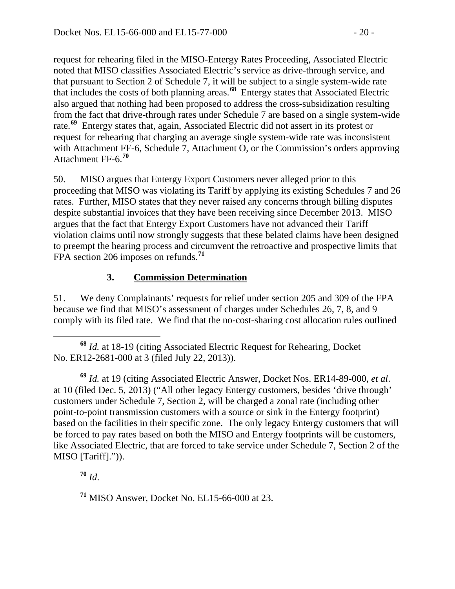request for rehearing filed in the MISO-Entergy Rates Proceeding, Associated Electric noted that MISO classifies Associated Electric's service as drive-through service, and that pursuant to Section 2 of Schedule 7, it will be subject to a single system-wide rate that includes the costs of both planning areas.**[68](#page-19-0)** Entergy states that Associated Electric also argued that nothing had been proposed to address the cross-subsidization resulting from the fact that drive-through rates under Schedule 7 are based on a single system-wide rate.<sup>[69](#page-19-1)</sup> Entergy states that, again, Associated Electric did not assert in its protest or request for rehearing that charging an average single system-wide rate was inconsistent with Attachment FF-6, Schedule 7, Attachment O, or the Commission's orders approving Attachment FF-6.**[70](#page-19-2)**

50. MISO argues that Entergy Export Customers never alleged prior to this proceeding that MISO was violating its Tariff by applying its existing Schedules 7 and 26 rates. Further, MISO states that they never raised any concerns through billing disputes despite substantial invoices that they have been receiving since December 2013. MISO argues that the fact that Entergy Export Customers have not advanced their Tariff violation claims until now strongly suggests that these belated claims have been designed to preempt the hearing process and circumvent the retroactive and prospective limits that FPA section 206 imposes on refunds.**[71](#page-19-3)**

### **3. Commission Determination**

51. We deny Complainants' requests for relief under section 205 and 309 of the FPA because we find that MISO's assessment of charges under Schedules 26, 7, 8, and 9 comply with its filed rate. We find that the no-cost-sharing cost allocation rules outlined

<span id="page-19-1"></span>**<sup>69</sup>** *Id.* at 19 (citing Associated Electric Answer, Docket Nos. ER14-89-000, *et al*. at 10 (filed Dec. 5, 2013) ("All other legacy Entergy customers, besides 'drive through' customers under Schedule 7, Section 2, will be charged a zonal rate (including other point-to-point transmission customers with a source or sink in the Entergy footprint) based on the facilities in their specific zone. The only legacy Entergy customers that will be forced to pay rates based on both the MISO and Entergy footprints will be customers, like Associated Electric, that are forced to take service under Schedule 7, Section 2 of the MISO [Tariff].")).

<span id="page-19-2"></span>**<sup>70</sup>** *Id*.

<span id="page-19-3"></span>**<sup>71</sup>** MISO Answer, Docket No. EL15-66-000 at 23.

<span id="page-19-0"></span>**<sup>68</sup>** *Id.* at 18-19 (citing Associated Electric Request for Rehearing, Docket No. ER12-2681-000 at 3 (filed July 22, 2013)).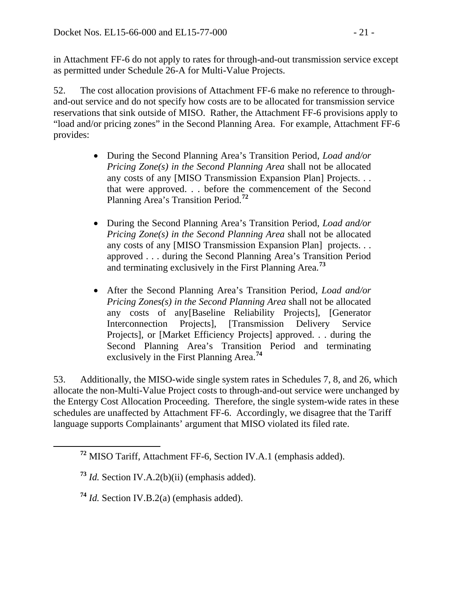in Attachment FF-6 do not apply to rates for through-and-out transmission service except as permitted under Schedule 26-A for Multi-Value Projects.

52. The cost allocation provisions of Attachment FF-6 make no reference to throughand-out service and do not specify how costs are to be allocated for transmission service reservations that sink outside of MISO. Rather, the Attachment FF-6 provisions apply to "load and/or pricing zones" in the Second Planning Area. For example, Attachment FF-6 provides:

- During the Second Planning Area's Transition Period, *Load and/or Pricing Zone(s) in the Second Planning Area* shall not be allocated any costs of any [MISO Transmission Expansion Plan] Projects. . . that were approved. . . before the commencement of the Second Planning Area's Transition Period.**[72](#page-20-0)**
- During the Second Planning Area's Transition Period, *Load and/or Pricing Zone(s) in the Second Planning Area* shall not be allocated any costs of any [MISO Transmission Expansion Plan] projects. . . approved . . . during the Second Planning Area's Transition Period and terminating exclusively in the First Planning Area.**[73](#page-20-1)**
- After the Second Planning Area's Transition Period, *Load and/or Pricing Zones(s) in the Second Planning Area* shall not be allocated any costs of any[Baseline Reliability Projects], [Generator Interconnection Projects], [Transmission Delivery Service Projects], or [Market Efficiency Projects] approved. . . during the Second Planning Area's Transition Period and terminating exclusively in the First Planning Area.**[74](#page-20-2)**

53. Additionally, the MISO-wide single system rates in Schedules 7, 8, and 26, which allocate the non-Multi-Value Project costs to through-and-out service were unchanged by the Entergy Cost Allocation Proceeding. Therefore, the single system-wide rates in these schedules are unaffected by Attachment FF-6. Accordingly, we disagree that the Tariff language supports Complainants' argument that MISO violated its filed rate.

<span id="page-20-0"></span>**<sup>72</sup>** MISO Tariff, Attachment FF-6, Section IV.A.1 (emphasis added).

<span id="page-20-1"></span>**<sup>73</sup>** *Id.* Section IV.A.2(b)(ii) (emphasis added).

<span id="page-20-2"></span>**<sup>74</sup>** *Id.* Section IV.B.2(a) (emphasis added).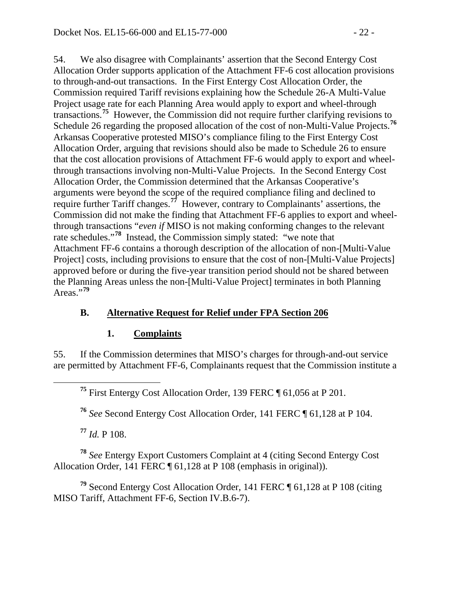54. We also disagree with Complainants' assertion that the Second Entergy Cost Allocation Order supports application of the Attachment FF-6 cost allocation provisions to through-and-out transactions. In the First Entergy Cost Allocation Order, the Commission required Tariff revisions explaining how the Schedule 26-A Multi-Value Project usage rate for each Planning Area would apply to export and wheel-through transactions.**[75](#page-21-0)** However, the Commission did not require further clarifying revisions to Schedule 26 regarding the proposed allocation of the cost of non-Multi-Value Projects.<sup>[76](#page-21-1)</sup> Arkansas Cooperative protested MISO's compliance filing to the First Entergy Cost Allocation Order, arguing that revisions should also be made to Schedule 26 to ensure that the cost allocation provisions of Attachment FF-6 would apply to export and wheelthrough transactions involving non-Multi-Value Projects. In the Second Entergy Cost Allocation Order, the Commission determined that the Arkansas Cooperative's arguments were beyond the scope of the required compliance filing and declined to require further Tariff changes.**[77](#page-21-2)** However, contrary to Complainants' assertions, the Commission did not make the finding that Attachment FF-6 applies to export and wheelthrough transactions "*even if* MISO is not making conforming changes to the relevant rate schedules."**[78](#page-21-3)** Instead, the Commission simply stated: "we note that Attachment FF-6 contains a thorough description of the allocation of non-[Multi-Value Project] costs, including provisions to ensure that the cost of non-[Multi-Value Projects] approved before or during the five-year transition period should not be shared between the Planning Areas unless the non-[Multi-Value Project] terminates in both Planning Areas."<sup>[79](#page-21-4)</sup>

#### **B. Alternative Request for Relief under FPA Section 206**

#### **1. Complaints**

<span id="page-21-0"></span>55. If the Commission determines that MISO's charges for through-and-out service are permitted by Attachment FF-6, Complainants request that the Commission institute a

**<sup>75</sup>** First Entergy Cost Allocation Order, 139 FERC ¶ 61,056 at P 201.

**<sup>76</sup>** *See* Second Entergy Cost Allocation Order, 141 FERC ¶ 61,128 at P 104.

**<sup>77</sup>** *Id.* P 108.

<span id="page-21-3"></span><span id="page-21-2"></span><span id="page-21-1"></span>**<sup>78</sup>** *See* Entergy Export Customers Complaint at 4 (citing Second Entergy Cost Allocation Order, 141 FERC ¶ 61,128 at P 108 (emphasis in original)).

<span id="page-21-4"></span>**<sup>79</sup>** Second Entergy Cost Allocation Order, 141 FERC ¶ 61,128 at P 108 (citing MISO Tariff, Attachment FF-6, Section IV.B.6-7).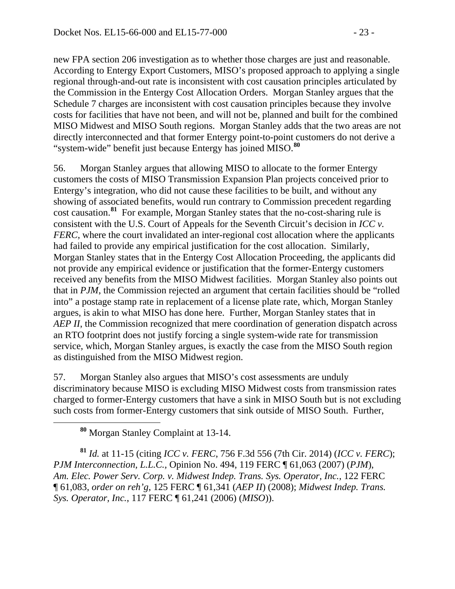new FPA section 206 investigation as to whether those charges are just and reasonable. According to Entergy Export Customers, MISO's proposed approach to applying a single regional through-and-out rate is inconsistent with cost causation principles articulated by the Commission in the Entergy Cost Allocation Orders. Morgan Stanley argues that the Schedule 7 charges are inconsistent with cost causation principles because they involve costs for facilities that have not been, and will not be, planned and built for the combined MISO Midwest and MISO South regions. Morgan Stanley adds that the two areas are not directly interconnected and that former Entergy point-to-point customers do not derive a "system-wide" benefit just because Entergy has joined MISO.**[80](#page-22-0)**

56. Morgan Stanley argues that allowing MISO to allocate to the former Entergy customers the costs of MISO Transmission Expansion Plan projects conceived prior to Entergy's integration, who did not cause these facilities to be built, and without any showing of associated benefits, would run contrary to Commission precedent regarding cost causation.**[81](#page-22-1)** For example, Morgan Stanley states that the no-cost-sharing rule is consistent with the U.S. Court of Appeals for the Seventh Circuit's decision in *ICC v. FERC*, where the court invalidated an inter-regional cost allocation where the applicants had failed to provide any empirical justification for the cost allocation. Similarly, Morgan Stanley states that in the Entergy Cost Allocation Proceeding, the applicants did not provide any empirical evidence or justification that the former-Entergy customers received any benefits from the MISO Midwest facilities. Morgan Stanley also points out that in *PJM*, the Commission rejected an argument that certain facilities should be "rolled into" a postage stamp rate in replacement of a license plate rate, which, Morgan Stanley argues, is akin to what MISO has done here. Further, Morgan Stanley states that in *AEP II*, the Commission recognized that mere coordination of generation dispatch across an RTO footprint does not justify forcing a single system-wide rate for transmission service, which, Morgan Stanley argues, is exactly the case from the MISO South region as distinguished from the MISO Midwest region.

57. Morgan Stanley also argues that MISO's cost assessments are unduly discriminatory because MISO is excluding MISO Midwest costs from transmission rates charged to former-Entergy customers that have a sink in MISO South but is not excluding such costs from former-Entergy customers that sink outside of MISO South. Further,

**<sup>80</sup>** Morgan Stanley Complaint at 13-14.

<span id="page-22-1"></span><span id="page-22-0"></span>**<sup>81</sup>** *Id.* at 11-15 (citing *ICC v. FERC*, 756 F.3d 556 (7th Cir. 2014) (*ICC v. FERC*); *PJM Interconnection, L.L.C.,* Opinion No. 494, 119 FERC ¶ 61,063 (2007) (*PJM*), *Am. Elec. Power Serv. Corp. v. Midwest Indep. Trans. Sys. Operator, Inc.*, 122 FERC ¶ 61,083, *order on reh'g*, 125 FERC ¶ 61,341 (*AEP II*) (2008); *Midwest Indep. Trans. Sys. Operator, Inc.*, 117 FERC ¶ 61,241 (2006) (*MISO*)).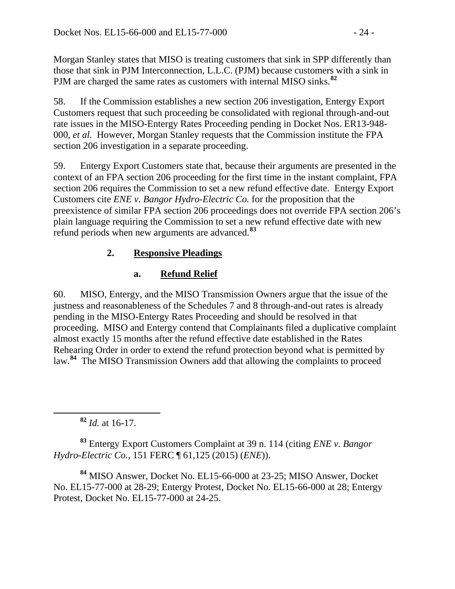Morgan Stanley states that MISO is treating customers that sink in SPP differently than those that sink in PJM Interconnection, L.L.C. (PJM) because customers with a sink in PJM are charged the same rates as customers with internal MISO sinks.**[82](#page-23-0)**

58. If the Commission establishes a new section 206 investigation, Entergy Export Customers request that such proceeding be consolidated with regional through-and-out rate issues in the MISO-Entergy Rates Proceeding pending in Docket Nos. ER13-948- 000, *et al.* However, Morgan Stanley requests that the Commission institute the FPA section 206 investigation in a separate proceeding.

59. Entergy Export Customers state that, because their arguments are presented in the context of an FPA section 206 proceeding for the first time in the instant complaint, FPA section 206 requires the Commission to set a new refund effective date. Entergy Export Customers cite *ENE v. Bangor Hydro-Electric Co.* for the proposition that the preexistence of similar FPA section 206 proceedings does not override FPA section 206's plain language requiring the Commission to set a new refund effective date with new refund periods when new arguments are advanced.**[83](#page-23-1)**

# **2. Responsive Pleadings**

# **a. Refund Relief**

60. MISO, Entergy, and the MISO Transmission Owners argue that the issue of the justness and reasonableness of the Schedules 7 and 8 through-and-out rates is already pending in the MISO-Entergy Rates Proceeding and should be resolved in that proceeding. MISO and Entergy contend that Complainants filed a duplicative complaint almost exactly 15 months after the refund effective date established in the Rates Rehearing Order in order to extend the refund protection beyond what is permitted by law.**[84](#page-23-2)** The MISO Transmission Owners add that allowing the complaints to proceed

**<sup>82</sup>** *Id.* at 16-17.

<span id="page-23-1"></span><span id="page-23-0"></span>**<sup>83</sup>** Entergy Export Customers Complaint at 39 n. 114 (citing *ENE v. Bangor Hydro-Electric Co.,* 151 FERC ¶ 61,125 (2015) (*ENE*)).

<span id="page-23-2"></span>**<sup>84</sup>** MISO Answer, Docket No. EL15-66-000 at 23-25; MISO Answer, Docket No. EL15-77-000 at 28-29; Entergy Protest, Docket No. EL15-66-000 at 28; Entergy Protest, Docket No. EL15-77-000 at 24-25.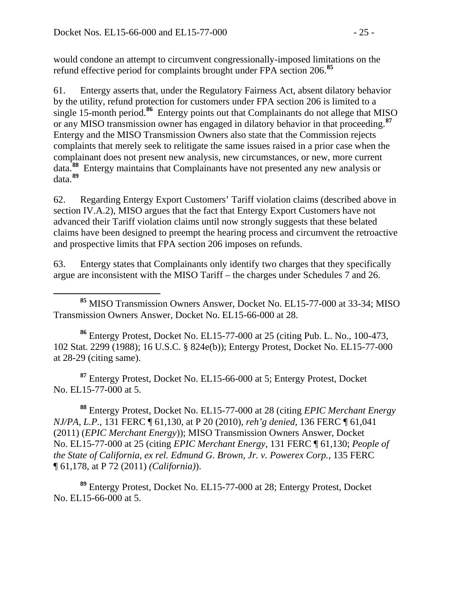would condone an attempt to circumvent congressionally-imposed limitations on the refund effective period for complaints brought under FPA section 206.**[85](#page-24-0)**

61. Entergy asserts that, under the Regulatory Fairness Act, absent dilatory behavior by the utility, refund protection for customers under FPA section 206 is limited to a single 15-month period.**[86](#page-24-1)** Entergy points out that Complainants do not allege that MISO or any MISO transmission owner has engaged in dilatory behavior in that proceeding.**[87](#page-24-2)** Entergy and the MISO Transmission Owners also state that the Commission rejects complaints that merely seek to relitigate the same issues raised in a prior case when the complainant does not present new analysis, new circumstances, or new, more current data.**[88](#page-24-3)** Entergy maintains that Complainants have not presented any new analysis or data.**[89](#page-24-4)**

62. Regarding Entergy Export Customers' Tariff violation claims (described above in section IV.A.2), MISO argues that the fact that Entergy Export Customers have not advanced their Tariff violation claims until now strongly suggests that these belated claims have been designed to preempt the hearing process and circumvent the retroactive and prospective limits that FPA section 206 imposes on refunds.

63. Entergy states that Complainants only identify two charges that they specifically argue are inconsistent with the MISO Tariff – the charges under Schedules 7 and 26.

<span id="page-24-1"></span>**<sup>86</sup>** Entergy Protest, Docket No. EL15-77-000 at 25 (citing Pub. L. No., 100-473, 102 Stat. 2299 (1988); 16 U.S.C. § 824e(b)); Entergy Protest, Docket No. EL15-77-000 at 28-29 (citing same).

<span id="page-24-2"></span>**<sup>87</sup>** Entergy Protest, Docket No. EL15-66-000 at 5; Entergy Protest, Docket No. EL15-77-000 at 5.

<span id="page-24-3"></span>**<sup>88</sup>** Entergy Protest, Docket No. EL15-77-000 at 28 (citing *EPIC Merchant Energy NJ/PA, L.P.*, 131 FERC ¶ 61,130, at P 20 (2010), *reh'g denied,* 136 FERC ¶ 61,041 (2011) (*EPIC Merchant Energy*)); MISO Transmission Owners Answer, Docket No. EL15-77-000 at 25 (citing *EPIC Merchant Energy*, 131 FERC ¶ 61,130; *People of the State of California, ex rel. Edmund G. Brown, Jr. v. Powerex Corp.*, 135 FERC ¶ 61,178, at P 72 (2011) *(California)*).

<span id="page-24-4"></span>**<sup>89</sup>** Entergy Protest, Docket No. EL15-77-000 at 28; Entergy Protest, Docket No. EL15-66-000 at 5.

<span id="page-24-0"></span>**<sup>85</sup>** MISO Transmission Owners Answer, Docket No. EL15-77-000 at 33-34; MISO Transmission Owners Answer, Docket No. EL15-66-000 at 28.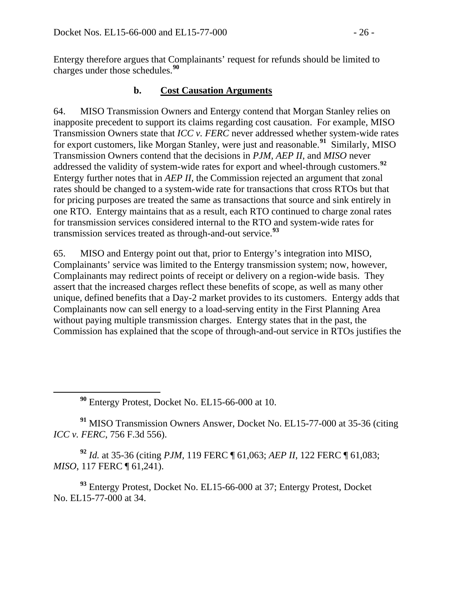Entergy therefore argues that Complainants' request for refunds should be limited to charges under those schedules.**[90](#page-25-0)**

#### **b. Cost Causation Arguments**

64. MISO Transmission Owners and Entergy contend that Morgan Stanley relies on inapposite precedent to support its claims regarding cost causation. For example, MISO Transmission Owners state that *ICC v. FERC* never addressed whether system-wide rates for export customers, like Morgan Stanley, were just and reasonable.**[91](#page-25-1)** Similarly, MISO Transmission Owners contend that the decisions in *PJM, AEP II*, and *MISO* never addressed the validity of system-wide rates for export and wheel-through customers.**[92](#page-25-2)** Entergy further notes that in *AEP II*, the Commission rejected an argument that zonal rates should be changed to a system-wide rate for transactions that cross RTOs but that for pricing purposes are treated the same as transactions that source and sink entirely in one RTO. Entergy maintains that as a result, each RTO continued to charge zonal rates for transmission services considered internal to the RTO and system-wide rates for transmission services treated as through-and-out service.**[93](#page-25-3)**

65. MISO and Entergy point out that, prior to Entergy's integration into MISO, Complainants' service was limited to the Entergy transmission system; now, however, Complainants may redirect points of receipt or delivery on a region-wide basis. They assert that the increased charges reflect these benefits of scope, as well as many other unique, defined benefits that a Day-2 market provides to its customers. Entergy adds that Complainants now can sell energy to a load-serving entity in the First Planning Area without paying multiple transmission charges. Entergy states that in the past, the Commission has explained that the scope of through-and-out service in RTOs justifies the

**<sup>90</sup>** Entergy Protest, Docket No. EL15-66-000 at 10.

<span id="page-25-1"></span><span id="page-25-0"></span>**<sup>91</sup>** MISO Transmission Owners Answer, Docket No. EL15-77-000 at 35-36 (citing *ICC v. FERC*, 756 F.3d 556).

<span id="page-25-2"></span>**<sup>92</sup>** *Id.* at 35-36 (citing *PJM,* 119 FERC ¶ 61,063; *AEP II*, 122 FERC ¶ 61,083; *MISO*, 117 FERC ¶ 61,241).

<span id="page-25-3"></span>**<sup>93</sup>** Entergy Protest, Docket No. EL15-66-000 at 37; Entergy Protest, Docket No. EL15-77-000 at 34.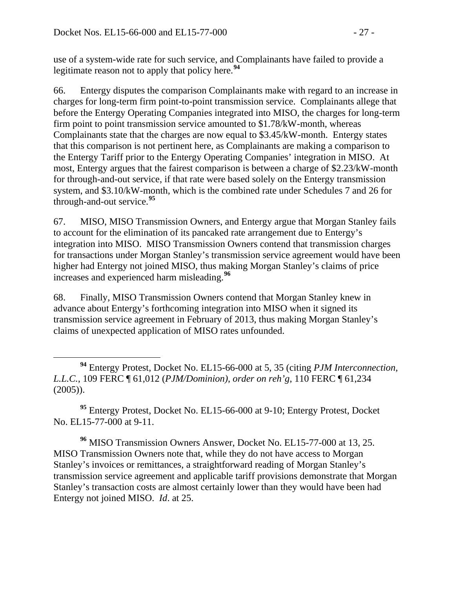use of a system-wide rate for such service, and Complainants have failed to provide a legitimate reason not to apply that policy here.**[94](#page-26-0)**

66. Entergy disputes the comparison Complainants make with regard to an increase in charges for long-term firm point-to-point transmission service. Complainants allege that before the Entergy Operating Companies integrated into MISO, the charges for long-term firm point to point transmission service amounted to \$1.78/kW-month, whereas Complainants state that the charges are now equal to \$3.45/kW-month. Entergy states that this comparison is not pertinent here, as Complainants are making a comparison to the Entergy Tariff prior to the Entergy Operating Companies' integration in MISO. At most, Entergy argues that the fairest comparison is between a charge of \$2.23/kW-month for through-and-out service, if that rate were based solely on the Entergy transmission system, and \$3.10/kW-month, which is the combined rate under Schedules 7 and 26 for through-and-out service.**[95](#page-26-1)**

67. MISO, MISO Transmission Owners, and Entergy argue that Morgan Stanley fails to account for the elimination of its pancaked rate arrangement due to Entergy's integration into MISO. MISO Transmission Owners contend that transmission charges for transactions under Morgan Stanley's transmission service agreement would have been higher had Entergy not joined MISO, thus making Morgan Stanley's claims of price increases and experienced harm misleading.**[96](#page-26-2)**

68. Finally, MISO Transmission Owners contend that Morgan Stanley knew in advance about Entergy's forthcoming integration into MISO when it signed its transmission service agreement in February of 2013, thus making Morgan Stanley's claims of unexpected application of MISO rates unfounded.

<span id="page-26-0"></span> **<sup>94</sup>** Entergy Protest, Docket No. EL15-66-000 at 5, 35 (citing *PJM Interconnection, L.L.C.*, 109 FERC ¶ 61,012 (*PJM/Dominion)*, *order on reh'g*, 110 FERC ¶ 61,234  $(2005)$ ).

<span id="page-26-1"></span>**<sup>95</sup>** Entergy Protest, Docket No. EL15-66-000 at 9-10; Entergy Protest, Docket No. EL15-77-000 at 9-11.

<span id="page-26-2"></span>**<sup>96</sup>** MISO Transmission Owners Answer, Docket No. EL15-77-000 at 13, 25. MISO Transmission Owners note that, while they do not have access to Morgan Stanley's invoices or remittances, a straightforward reading of Morgan Stanley's transmission service agreement and applicable tariff provisions demonstrate that Morgan Stanley's transaction costs are almost certainly lower than they would have been had Entergy not joined MISO. *Id*. at 25.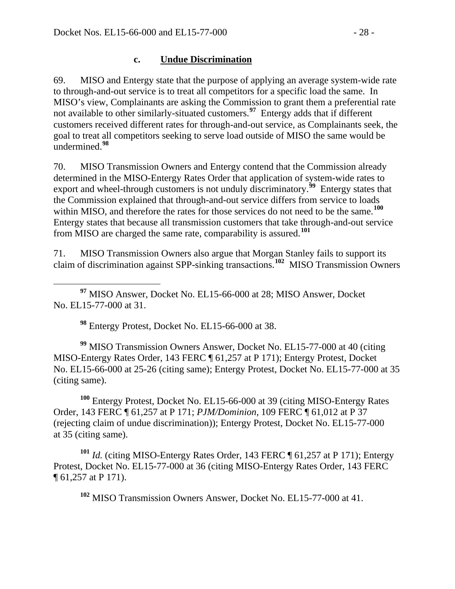#### **c. Undue Discrimination**

69. MISO and Entergy state that the purpose of applying an average system-wide rate to through-and-out service is to treat all competitors for a specific load the same. In MISO's view, Complainants are asking the Commission to grant them a preferential rate not available to other similarly-situated customers.<sup>[97](#page-27-0)</sup> Entergy adds that if different customers received different rates for through-and-out service, as Complainants seek, the goal to treat all competitors seeking to serve load outside of MISO the same would be undermined.**[98](#page-27-1)**

70. MISO Transmission Owners and Entergy contend that the Commission already determined in the MISO-Entergy Rates Order that application of system-wide rates to export and wheel-through customers is not unduly discriminatory.<sup>[99](#page-27-2)</sup> Entergy states that the Commission explained that through-and-out service differs from service to loads within MISO, and therefore the rates for those services do not need to be the same.**[100](#page-27-3)** Entergy states that because all transmission customers that take through-and-out service from MISO are charged the same rate, comparability is assured.**[101](#page-27-4)**

71. MISO Transmission Owners also argue that Morgan Stanley fails to support its claim of discrimination against SPP-sinking transactions.**[102](#page-27-5)** MISO Transmission Owners

<span id="page-27-0"></span> **<sup>97</sup>** MISO Answer, Docket No. EL15-66-000 at 28; MISO Answer, Docket No. EL15-77-000 at 31.

**<sup>98</sup>** Entergy Protest, Docket No. EL15-66-000 at 38.

<span id="page-27-2"></span><span id="page-27-1"></span>**<sup>99</sup>** MISO Transmission Owners Answer, Docket No. EL15-77-000 at 40 (citing MISO-Entergy Rates Order, 143 FERC ¶ 61,257 at P 171); Entergy Protest, Docket No. EL15-66-000 at 25-26 (citing same); Entergy Protest, Docket No. EL15-77-000 at 35 (citing same).

<span id="page-27-3"></span>**<sup>100</sup>** Entergy Protest, Docket No. EL15-66-000 at 39 (citing MISO-Entergy Rates Order, 143 FERC ¶ 61,257 at P 171; *PJM/Dominion*, 109 FERC ¶ 61,012 at P 37 (rejecting claim of undue discrimination)); Entergy Protest, Docket No. EL15-77-000 at 35 (citing same).

<span id="page-27-5"></span><span id="page-27-4"></span>**<sup>101</sup>** *Id.* (citing MISO-Entergy Rates Order, 143 FERC ¶ 61,257 at P 171); Entergy Protest, Docket No. EL15-77-000 at 36 (citing MISO-Entergy Rates Order, 143 FERC ¶ 61,257 at P 171).

**<sup>102</sup>** MISO Transmission Owners Answer, Docket No. EL15-77-000 at 41.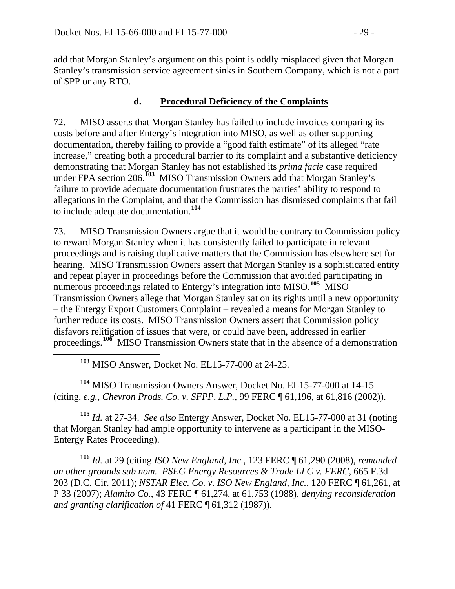add that Morgan Stanley's argument on this point is oddly misplaced given that Morgan Stanley's transmission service agreement sinks in Southern Company, which is not a part of SPP or any RTO.

#### **d. Procedural Deficiency of the Complaints**

72. MISO asserts that Morgan Stanley has failed to include invoices comparing its costs before and after Entergy's integration into MISO, as well as other supporting documentation, thereby failing to provide a "good faith estimate" of its alleged "rate increase," creating both a procedural barrier to its complaint and a substantive deficiency demonstrating that Morgan Stanley has not established its *prima facie* case required under FPA section 206.**[103](#page-28-0)** MISO Transmission Owners add that Morgan Stanley's failure to provide adequate documentation frustrates the parties' ability to respond to allegations in the Complaint, and that the Commission has dismissed complaints that fail to include adequate documentation.**[104](#page-28-1)**

73. MISO Transmission Owners argue that it would be contrary to Commission policy to reward Morgan Stanley when it has consistently failed to participate in relevant proceedings and is raising duplicative matters that the Commission has elsewhere set for hearing. MISO Transmission Owners assert that Morgan Stanley is a sophisticated entity and repeat player in proceedings before the Commission that avoided participating in numerous proceedings related to Entergy's integration into MISO.<sup>[105](#page-28-2)</sup> MISO Transmission Owners allege that Morgan Stanley sat on its rights until a new opportunity – the Entergy Export Customers Complaint – revealed a means for Morgan Stanley to further reduce its costs. MISO Transmission Owners assert that Commission policy disfavors relitigation of issues that were, or could have been, addressed in earlier proceedings.<sup>[106](#page-28-3)</sup> MISO Transmission Owners state that in the absence of a demonstration

**<sup>103</sup>** MISO Answer, Docket No. EL15-77-000 at 24-25.

<span id="page-28-1"></span><span id="page-28-0"></span>**<sup>104</sup>** MISO Transmission Owners Answer, Docket No. EL15-77-000 at 14-15 (citing, *e.g.*, *Chevron Prods. Co. v. SFPP, L.P.*, 99 FERC ¶ 61,196, at 61,816 (2002)).

<span id="page-28-2"></span>**<sup>105</sup>** *Id.* at 27-34. *See also* Entergy Answer, Docket No. EL15-77-000 at 31 (noting that Morgan Stanley had ample opportunity to intervene as a participant in the MISO-Entergy Rates Proceeding).

<span id="page-28-3"></span>**<sup>106</sup>** *Id.* at 29 (citing *ISO New England, Inc.*, 123 FERC ¶ 61,290 (2008), *remanded on other grounds sub nom. PSEG Energy Resources & Trade LLC v. FERC*, 665 F.3d 203 (D.C. Cir. 2011); *NSTAR Elec. Co. v. ISO New England, Inc.*, 120 FERC ¶ 61,261, at P 33 (2007); *Alamito Co.*, 43 FERC ¶ 61,274, at 61,753 (1988), *denying reconsideration and granting clarification of* 41 FERC ¶ 61,312 (1987)).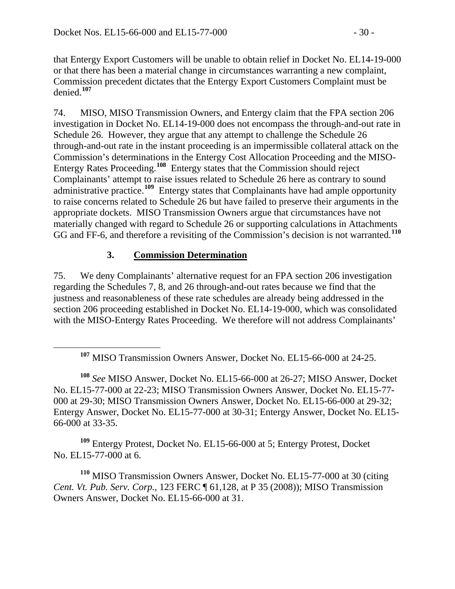that Entergy Export Customers will be unable to obtain relief in Docket No. EL14-19-000 or that there has been a material change in circumstances warranting a new complaint, Commission precedent dictates that the Entergy Export Customers Complaint must be denied.**[107](#page-29-0)**

74. MISO, MISO Transmission Owners, and Entergy claim that the FPA section 206 investigation in Docket No. EL14-19-000 does not encompass the through-and-out rate in Schedule 26. However, they argue that any attempt to challenge the Schedule 26 through-and-out rate in the instant proceeding is an impermissible collateral attack on the Commission's determinations in the Entergy Cost Allocation Proceeding and the MISO-Entergy Rates Proceeding.**[108](#page-29-1)** Entergy states that the Commission should reject Complainants' attempt to raise issues related to Schedule 26 here as contrary to sound administrative practice.**[109](#page-29-2)** Entergy states that Complainants have had ample opportunity to raise concerns related to Schedule 26 but have failed to preserve their arguments in the appropriate dockets. MISO Transmission Owners argue that circumstances have not materially changed with regard to Schedule 26 or supporting calculations in Attachments GG and FF-6, and therefore a revisiting of the Commission's decision is not warranted.**[110](#page-29-3)**

#### **3. Commission Determination**

75. We deny Complainants' alternative request for an FPA section 206 investigation regarding the Schedules 7, 8, and 26 through-and-out rates because we find that the justness and reasonableness of these rate schedules are already being addressed in the section 206 proceeding established in Docket No. EL14-19-000, which was consolidated with the MISO-Entergy Rates Proceeding. We therefore will not address Complainants'

<span id="page-29-1"></span><span id="page-29-0"></span>**<sup>108</sup>** *See* MISO Answer, Docket No. EL15-66-000 at 26-27; MISO Answer, Docket No. EL15-77-000 at 22-23; MISO Transmission Owners Answer, Docket No. EL15-77- 000 at 29-30; MISO Transmission Owners Answer, Docket No. EL15-66-000 at 29-32; Entergy Answer, Docket No. EL15-77-000 at 30-31; Entergy Answer, Docket No. EL15- 66-000 at 33-35.

<span id="page-29-2"></span>**<sup>109</sup>** Entergy Protest, Docket No. EL15-66-000 at 5; Entergy Protest, Docket No. EL15-77-000 at 6.

<span id="page-29-3"></span>**<sup>110</sup>** MISO Transmission Owners Answer, Docket No. EL15-77-000 at 30 (citing *Cent. Vt. Pub. Serv. Corp.*, 123 FERC ¶ 61,128, at P 35 (2008)); MISO Transmission Owners Answer, Docket No. EL15-66-000 at 31.

**<sup>107</sup>** MISO Transmission Owners Answer, Docket No. EL15-66-000 at 24-25.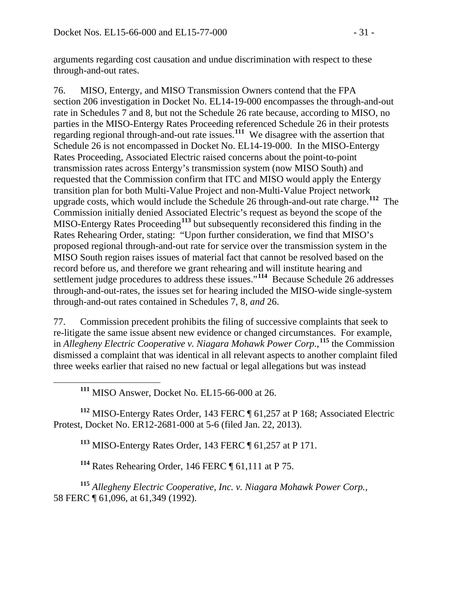arguments regarding cost causation and undue discrimination with respect to these through-and-out rates.

76. MISO, Entergy, and MISO Transmission Owners contend that the FPA section 206 investigation in Docket No. EL14-19-000 encompasses the through-and-out rate in Schedules 7 and 8, but not the Schedule 26 rate because, according to MISO, no parties in the MISO-Entergy Rates Proceeding referenced Schedule 26 in their protests regarding regional through-and-out rate issues.**[111](#page-30-0)** We disagree with the assertion that Schedule 26 is not encompassed in Docket No. EL14-19-000. In the MISO-Entergy Rates Proceeding, Associated Electric raised concerns about the point-to-point transmission rates across Entergy's transmission system (now MISO South) and requested that the Commission confirm that ITC and MISO would apply the Entergy transition plan for both Multi-Value Project and non-Multi-Value Project network upgrade costs, which would include the Schedule 26 through-and-out rate charge. **[112](#page-30-1)** The Commission initially denied Associated Electric's request as beyond the scope of the MISO-Entergy Rates Proceeding**[113](#page-30-2)** but subsequently reconsidered this finding in the Rates Rehearing Order, stating: "Upon further consideration, we find that MISO's proposed regional through-and-out rate for service over the transmission system in the MISO South region raises issues of material fact that cannot be resolved based on the record before us, and therefore we grant rehearing and will institute hearing and settlement judge procedures to address these issues."**[114](#page-30-3)** Because Schedule 26 addresses through-and-out-rates, the issues set for hearing included the MISO-wide single-system through-and-out rates contained in Schedules 7, 8, *and* 26.

77. Commission precedent prohibits the filing of successive complaints that seek to re-litigate the same issue absent new evidence or changed circumstances. For example, in *Allegheny Electric Cooperative v. Niagara Mohawk Power Corp.*, **[115](#page-30-4)** the Commission dismissed a complaint that was identical in all relevant aspects to another complaint filed three weeks earlier that raised no new factual or legal allegations but was instead

**<sup>111</sup>** MISO Answer, Docket No. EL15-66-000 at 26.

<span id="page-30-2"></span><span id="page-30-1"></span><span id="page-30-0"></span>**<sup>112</sup>** MISO-Entergy Rates Order, 143 FERC ¶ 61,257 at P 168; Associated Electric Protest, Docket No. ER12-2681-000 at 5-6 (filed Jan. 22, 2013).

**<sup>113</sup>** MISO-Entergy Rates Order, 143 FERC ¶ 61,257 at P 171.

**<sup>114</sup>** Rates Rehearing Order, 146 FERC ¶ 61,111 at P 75.

<span id="page-30-4"></span><span id="page-30-3"></span>**<sup>115</sup>** *Allegheny Electric Cooperative, Inc. v. Niagara Mohawk Power Corp.*, 58 FERC ¶ 61,096, at 61,349 (1992).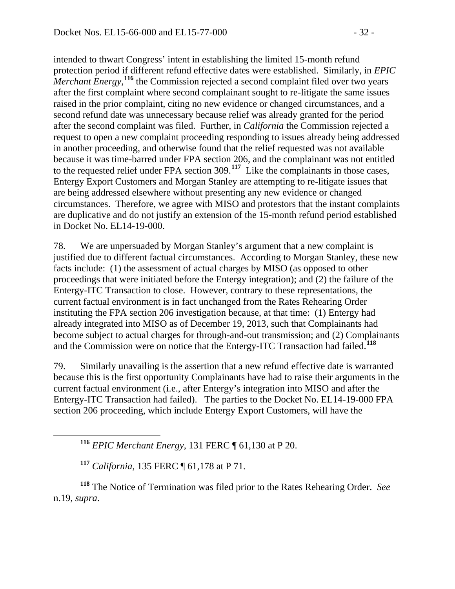intended to thwart Congress' intent in establishing the limited 15-month refund protection period if different refund effective dates were established. Similarly, in *EPIC*  Merchant Energy,<sup>[116](#page-31-0)</sup> the Commission rejected a second complaint filed over two years after the first complaint where second complainant sought to re-litigate the same issues raised in the prior complaint, citing no new evidence or changed circumstances, and a second refund date was unnecessary because relief was already granted for the period after the second complaint was filed. Further, in *California* the Commission rejected a request to open a new complaint proceeding responding to issues already being addressed in another proceeding, and otherwise found that the relief requested was not available because it was time-barred under FPA section 206, and the complainant was not entitled to the requested relief under FPA section 309.**[117](#page-31-1)** Like the complainants in those cases, Entergy Export Customers and Morgan Stanley are attempting to re-litigate issues that are being addressed elsewhere without presenting any new evidence or changed circumstances. Therefore, we agree with MISO and protestors that the instant complaints are duplicative and do not justify an extension of the 15-month refund period established in Docket No. EL14-19-000.

78. We are unpersuaded by Morgan Stanley's argument that a new complaint is justified due to different factual circumstances. According to Morgan Stanley, these new facts include: (1) the assessment of actual charges by MISO (as opposed to other proceedings that were initiated before the Entergy integration); and (2) the failure of the Entergy-ITC Transaction to close. However, contrary to these representations, the current factual environment is in fact unchanged from the Rates Rehearing Order instituting the FPA section 206 investigation because, at that time: (1) Entergy had already integrated into MISO as of December 19, 2013, such that Complainants had become subject to actual charges for through-and-out transmission; and (2) Complainants and the Commission were on notice that the Entergy-ITC Transaction had failed.**[118](#page-31-2)**

79. Similarly unavailing is the assertion that a new refund effective date is warranted because this is the first opportunity Complainants have had to raise their arguments in the current factual environment (i.e., after Entergy's integration into MISO and after the Entergy-ITC Transaction had failed). The parties to the Docket No. EL14-19-000 FPA section 206 proceeding, which include Entergy Export Customers, will have the

**<sup>116</sup>** *EPIC Merchant Energy*, 131 FERC ¶ 61,130 at P 20.

**<sup>117</sup>** *California*, 135 FERC ¶ 61,178 at P 71.

<span id="page-31-2"></span><span id="page-31-1"></span><span id="page-31-0"></span>**<sup>118</sup>** The Notice of Termination was filed prior to the Rates Rehearing Order. *See* n.19, *supra*.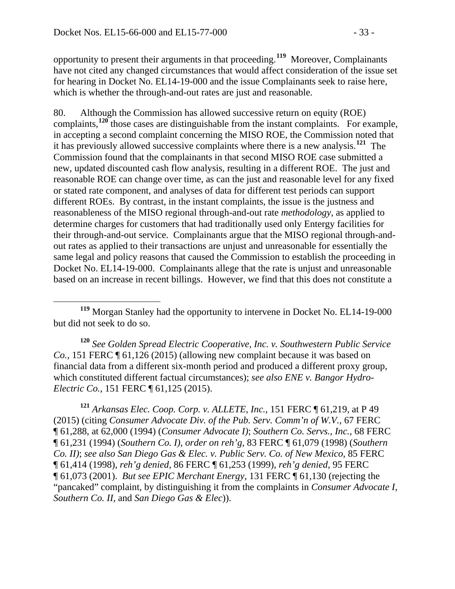opportunity to present their arguments in that proceeding.**[119](#page-32-0)** Moreover, Complainants have not cited any changed circumstances that would affect consideration of the issue set for hearing in Docket No. EL14-19-000 and the issue Complainants seek to raise here, which is whether the through-and-out rates are just and reasonable.

80. Although the Commission has allowed successive return on equity (ROE) complaints, <sup>[120](#page-32-1)</sup> those cases are distinguishable from the instant complaints. For example, in accepting a second complaint concerning the MISO ROE, the Commission noted that it has previously allowed successive complaints where there is a new analysis.**[121](#page-32-2)** The Commission found that the complainants in that second MISO ROE case submitted a new, updated discounted cash flow analysis, resulting in a different ROE. The just and reasonable ROE can change over time, as can the just and reasonable level for any fixed or stated rate component, and analyses of data for different test periods can support different ROEs. By contrast, in the instant complaints, the issue is the justness and reasonableness of the MISO regional through-and-out rate *methodology*, as applied to determine charges for customers that had traditionally used only Entergy facilities for their through-and-out service. Complainants argue that the MISO regional through-andout rates as applied to their transactions are unjust and unreasonable for essentially the same legal and policy reasons that caused the Commission to establish the proceeding in Docket No. EL14-19-000. Complainants allege that the rate is unjust and unreasonable based on an increase in recent billings. However, we find that this does not constitute a

<span id="page-32-0"></span> **<sup>119</sup>** Morgan Stanley had the opportunity to intervene in Docket No. EL14-19-000 but did not seek to do so.

<span id="page-32-1"></span>**<sup>120</sup>** *See Golden Spread Electric Cooperative, Inc. v. Southwestern Public Service Co.*, 151 FERC  $\P$  61,126 (2015) (allowing new complaint because it was based on financial data from a different six-month period and produced a different proxy group, which constituted different factual circumstances); *see also ENE v. Bangor Hydro-Electric Co.*, 151 FERC ¶ 61,125 (2015).

<span id="page-32-2"></span>**<sup>121</sup>** *Arkansas Elec. Coop. Corp. v. ALLETE, Inc.*, 151 FERC ¶ 61,219, at P 49 (2015) (citing *Consumer Advocate Div. of the Pub. Serv. Comm'n of W.V.*, 67 FERC ¶ 61,288, at 62,000 (1994) (*Consumer Advocate I)*; *Southern Co. Servs., Inc.*, 68 FERC ¶ 61,231 (1994) (*Southern Co. I)*, *order on reh'g*, 83 FERC ¶ 61,079 (1998) (*Southern Co. II)*; *see also San Diego Gas & Elec. v. Public Serv. Co. of New Mexico,* 85 FERC ¶ 61,414 (1998), *reh'g denied*, 86 FERC ¶ 61,253 (1999), *reh'g denied*, 95 FERC ¶ 61,073 (2001). *But see EPIC Merchant Energy*, 131 FERC ¶ 61,130 (rejecting the "pancaked" complaint, by distinguishing it from the complaints in *Consumer Advocate I*, *Southern Co. II*, and *San Diego Gas & Elec*)).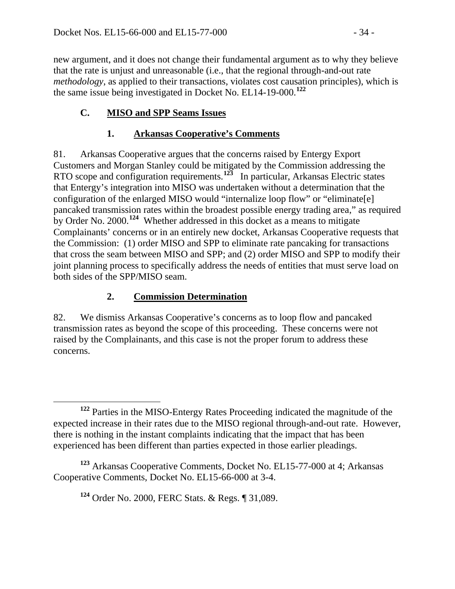new argument, and it does not change their fundamental argument as to why they believe that the rate is unjust and unreasonable (i.e., that the regional through-and-out rate *methodology*, as applied to their transactions, violates cost causation principles), which is the same issue being investigated in Docket No. EL14-19-000.**[122](#page-33-0)**

# **C. MISO and SPP Seams Issues**

## **1. Arkansas Cooperative's Comments**

81. Arkansas Cooperative argues that the concerns raised by Entergy Export Customers and Morgan Stanley could be mitigated by the Commission addressing the RTO scope and configuration requirements.**[123](#page-33-1)** In particular, Arkansas Electric states that Entergy's integration into MISO was undertaken without a determination that the configuration of the enlarged MISO would "internalize loop flow" or "eliminate[e] pancaked transmission rates within the broadest possible energy trading area," as required by Order No. 2000.**[124](#page-33-2)** Whether addressed in this docket as a means to mitigate Complainants' concerns or in an entirely new docket, Arkansas Cooperative requests that the Commission: (1) order MISO and SPP to eliminate rate pancaking for transactions that cross the seam between MISO and SPP; and (2) order MISO and SPP to modify their joint planning process to specifically address the needs of entities that must serve load on both sides of the SPP/MISO seam.

### **2. Commission Determination**

82. We dismiss Arkansas Cooperative's concerns as to loop flow and pancaked transmission rates as beyond the scope of this proceeding. These concerns were not raised by the Complainants, and this case is not the proper forum to address these concerns.

**<sup>124</sup>** Order No. 2000, FERC Stats. & Regs. ¶ 31,089.

<span id="page-33-0"></span>**<sup>122</sup>** Parties in the MISO-Entergy Rates Proceeding indicated the magnitude of the expected increase in their rates due to the MISO regional through-and-out rate. However, there is nothing in the instant complaints indicating that the impact that has been experienced has been different than parties expected in those earlier pleadings.

<span id="page-33-2"></span><span id="page-33-1"></span>**<sup>123</sup>** Arkansas Cooperative Comments, Docket No. EL15-77-000 at 4; Arkansas Cooperative Comments, Docket No. EL15-66-000 at 3-4.